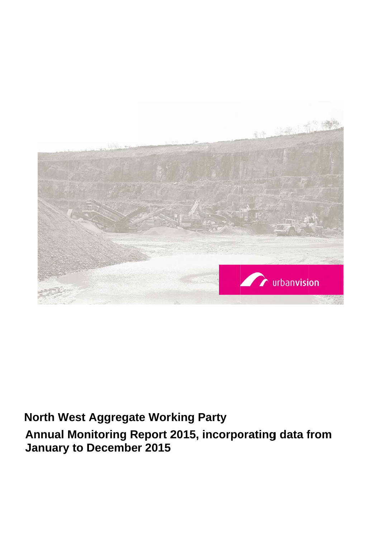

# **North West Aggregate Working Party**

**Annual Monitoring Report 2015, incorporating data from January to December 2015**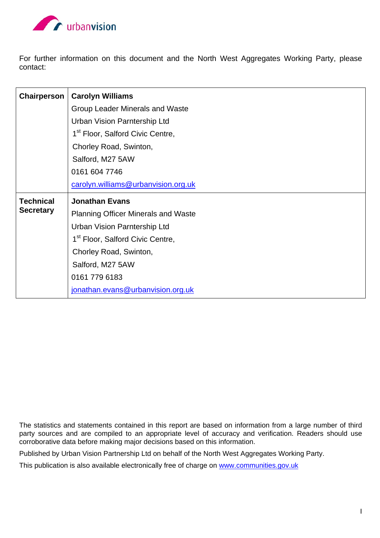

For further information on this document and the North West Aggregates Working Party, please contact:

| Chairperson      | <b>Carolyn Williams</b>                      |
|------------------|----------------------------------------------|
|                  | Group Leader Minerals and Waste              |
|                  | <b>Urban Vision Parntership Ltd</b>          |
|                  | 1 <sup>st</sup> Floor, Salford Civic Centre, |
|                  | Chorley Road, Swinton,                       |
|                  | Salford, M27 5AW                             |
|                  | 0161 604 7746                                |
|                  | carolyn.williams@urbanvision.org.uk          |
| <b>Technical</b> | <b>Jonathan Evans</b>                        |
| <b>Secretary</b> | <b>Planning Officer Minerals and Waste</b>   |
|                  | <b>Urban Vision Parntership Ltd</b>          |
|                  | 1 <sup>st</sup> Floor, Salford Civic Centre, |
|                  |                                              |
|                  | Chorley Road, Swinton,                       |
|                  | Salford, M27 5AW                             |
|                  | 0161 779 6183                                |

The statistics and statements contained in this report are based on information from a large number of third party sources and are compiled to an appropriate level of accuracy and verification. Readers should use corroborative data before making major decisions based on this information.

Published by Urban Vision Partnership Ltd on behalf of the North West Aggregates Working Party.

This publication is also available electronically free of charge on www.communities.gov.uk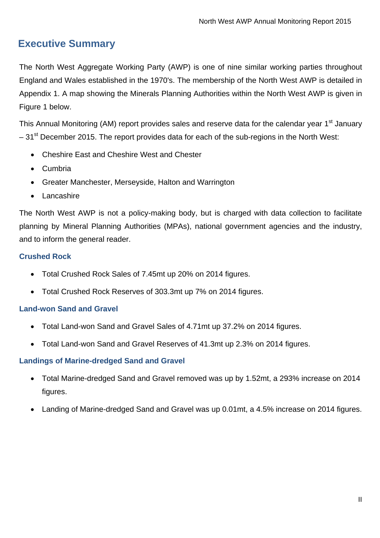# **Executive Summary**

The North West Aggregate Working Party (AWP) is one of nine similar working parties throughout England and Wales established in the 1970's. The membership of the North West AWP is detailed in Appendix 1. A map showing the Minerals Planning Authorities within the North West AWP is given in Figure 1 below.

This Annual Monitoring (AM) report provides sales and reserve data for the calendar year 1<sup>st</sup> January  $-31<sup>st</sup>$  December 2015. The report provides data for each of the sub-regions in the North West:

- Cheshire East and Cheshire West and Chester
- Cumbria
- Greater Manchester, Merseyside, Halton and Warrington
- Lancashire

The North West AWP is not a policy-making body, but is charged with data collection to facilitate planning by Mineral Planning Authorities (MPAs), national government agencies and the industry, and to inform the general reader.

#### **Crushed Rock**

- Total Crushed Rock Sales of 7.45mt up 20% on 2014 figures.
- Total Crushed Rock Reserves of 303.3mt up 7% on 2014 figures.

#### **Land-won Sand and Gravel**

- Total Land-won Sand and Gravel Sales of 4.71mt up 37.2% on 2014 figures.
- Total Land-won Sand and Gravel Reserves of 41.3mt up 2.3% on 2014 figures.

#### **Landings of Marine-dredged Sand and Gravel**

- Total Marine-dredged Sand and Gravel removed was up by 1.52mt, a 293% increase on 2014 figures.
- Landing of Marine-dredged Sand and Gravel was up 0.01mt, a 4.5% increase on 2014 figures.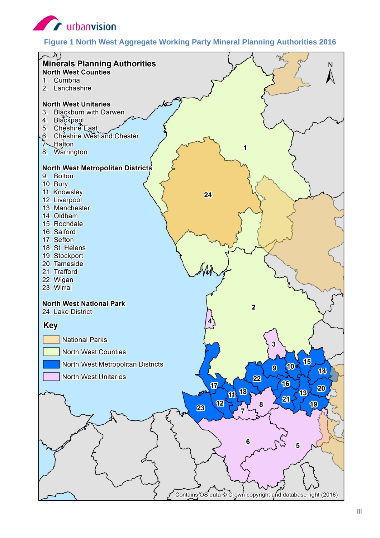

#### **Figure 1 North West Aggregate Working Party Mineral Planning Authorities 2016**

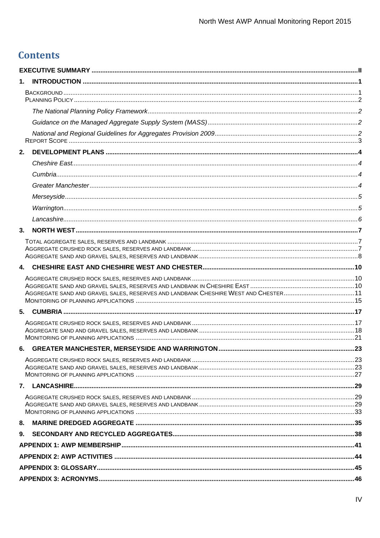# **Contents**

| 1.                                                                                 |  |
|------------------------------------------------------------------------------------|--|
|                                                                                    |  |
|                                                                                    |  |
|                                                                                    |  |
|                                                                                    |  |
|                                                                                    |  |
| 2.                                                                                 |  |
|                                                                                    |  |
|                                                                                    |  |
|                                                                                    |  |
|                                                                                    |  |
|                                                                                    |  |
|                                                                                    |  |
| 3.                                                                                 |  |
|                                                                                    |  |
|                                                                                    |  |
|                                                                                    |  |
| AGGREGATE SAND AND GRAVEL SALES, RESERVES AND LANDBANK CHESHIRE WEST AND CHESTER11 |  |
|                                                                                    |  |
|                                                                                    |  |
|                                                                                    |  |
|                                                                                    |  |
|                                                                                    |  |
|                                                                                    |  |
|                                                                                    |  |
|                                                                                    |  |
|                                                                                    |  |
|                                                                                    |  |
|                                                                                    |  |
|                                                                                    |  |
|                                                                                    |  |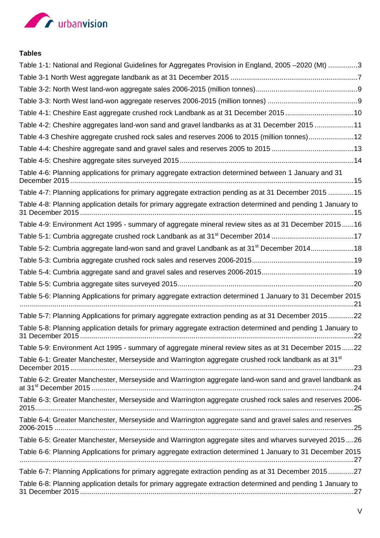

#### **Tables**

| Table 1-1: National and Regional Guidelines for Aggregates Provision in England, 2005 -2020 (Mt) 3              |
|-----------------------------------------------------------------------------------------------------------------|
|                                                                                                                 |
|                                                                                                                 |
|                                                                                                                 |
| Table 4-1: Cheshire East aggregate crushed rock Landbank as at 31 December 201510                               |
| Table 4-2: Cheshire aggregates land-won sand and gravel landbanks as at 31 December 2015 11                     |
| Table 4-3 Cheshire aggregate crushed rock sales and reserves 2006 to 2015 (million tonnes)12                    |
|                                                                                                                 |
|                                                                                                                 |
| Table 4-6: Planning applications for primary aggregate extraction determined between 1 January and 31           |
| Table 4-7: Planning applications for primary aggregate extraction pending as at 31 December 2015 15             |
| Table 4-8: Planning application details for primary aggregate extraction determined and pending 1 January to    |
| Table 4-9: Environment Act 1995 - summary of aggregate mineral review sites as at 31 December 201516            |
|                                                                                                                 |
| Table 5-2: Cumbria aggregate land-won sand and gravel Landbank as at 31 <sup>st</sup> December 201418           |
|                                                                                                                 |
|                                                                                                                 |
|                                                                                                                 |
| Table 5-6: Planning Applications for primary aggregate extraction determined 1 January to 31 December 2015      |
| Table 5-7: Planning Applications for primary aggregate extraction pending as at 31 December 201522              |
| Table 5-8: Planning application details for primary aggregate extraction determined and pending 1 January to    |
| Table 5-9: Environment Act 1995 - summary of aggregate mineral review sites as at 31 December 201522            |
| Table 6-1: Greater Manchester, Merseyside and Warrington aggregate crushed rock landbank as at 31 <sup>st</sup> |
| Table 6-2: Greater Manchester, Merseyside and Warrington aggregate land-won sand and gravel landbank as         |
| Table 6-3: Greater Manchester, Merseyside and Warrington aggregate crushed rock sales and reserves 2006-        |
| Table 6-4: Greater Manchester, Merseyside and Warrington aggregate sand and gravel sales and reserves           |
| Table 6-5: Greater Manchester, Merseyside and Warrington aggregate sites and wharves surveyed 201526            |
| Table 6-6: Planning Applications for primary aggregate extraction determined 1 January to 31 December 2015      |
| Table 6-7: Planning Applications for primary aggregate extraction pending as at 31 December 201527              |
| Table 6-8: Planning application details for primary aggregate extraction determined and pending 1 January to    |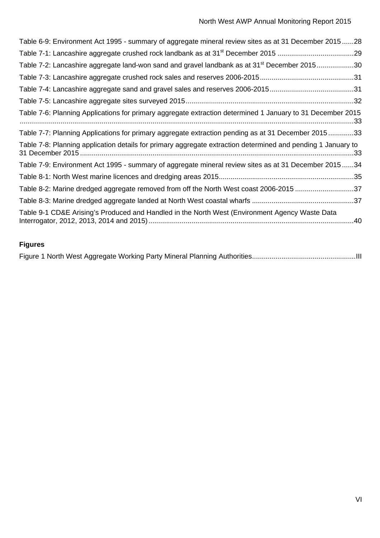| Table 6-9: Environment Act 1995 - summary of aggregate mineral review sites as at 31 December 201528         |
|--------------------------------------------------------------------------------------------------------------|
|                                                                                                              |
| Table 7-2: Lancashire aggregate land-won sand and gravel landbank as at 31 <sup>st</sup> December 201530     |
|                                                                                                              |
|                                                                                                              |
|                                                                                                              |
| Table 7-6: Planning Applications for primary aggregate extraction determined 1 January to 31 December 2015   |
| Table 7-7: Planning Applications for primary aggregate extraction pending as at 31 December 201533           |
| Table 7-8: Planning application details for primary aggregate extraction determined and pending 1 January to |
| Table 7-9: Environment Act 1995 - summary of aggregate mineral review sites as at 31 December 201534         |
|                                                                                                              |
| Table 8-2: Marine dredged aggregate removed from off the North West coast 2006-2015 37                       |
|                                                                                                              |
| Table 9-1 CD&E Arising's Produced and Handled in the North West (Environment Agency Waste Data               |

## **Figures**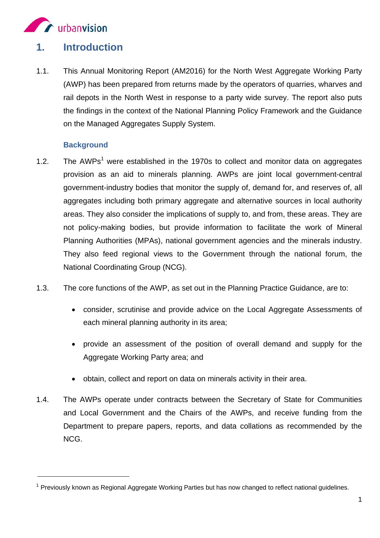

# **1. Introduction**

1.1. This Annual Monitoring Report (AM2016) for the North West Aggregate Working Party (AWP) has been prepared from returns made by the operators of quarries, wharves and rail depots in the North West in response to a party wide survey. The report also puts the findings in the context of the National Planning Policy Framework and the Guidance on the Managed Aggregates Supply System.

#### **Background**

 $\overline{a}$ 

- 1.2. The  $AWPs<sup>1</sup>$  were established in the 1970s to collect and monitor data on aggregates provision as an aid to minerals planning. AWPs are joint local government-central government-industry bodies that monitor the supply of, demand for, and reserves of, all aggregates including both primary aggregate and alternative sources in local authority areas. They also consider the implications of supply to, and from, these areas. They are not policy-making bodies, but provide information to facilitate the work of Mineral Planning Authorities (MPAs), national government agencies and the minerals industry. They also feed regional views to the Government through the national forum, the National Coordinating Group (NCG).
- 1.3. The core functions of the AWP, as set out in the Planning Practice Guidance, are to:
	- consider, scrutinise and provide advice on the Local Aggregate Assessments of each mineral planning authority in its area;
	- provide an assessment of the position of overall demand and supply for the Aggregate Working Party area; and
	- obtain, collect and report on data on minerals activity in their area.
- 1.4. The AWPs operate under contracts between the Secretary of State for Communities and Local Government and the Chairs of the AWPs, and receive funding from the Department to prepare papers, reports, and data collations as recommended by the NCG.

 $1$  Previously known as Regional Aggregate Working Parties but has now changed to reflect national guidelines.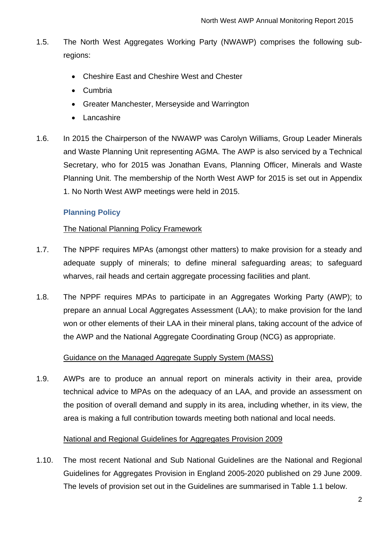- 1.5. The North West Aggregates Working Party (NWAWP) comprises the following subregions:
	- Cheshire East and Cheshire West and Chester
	- Cumbria
	- Greater Manchester, Merseyside and Warrington
	- Lancashire
- 1.6. In 2015 the Chairperson of the NWAWP was Carolyn Williams, Group Leader Minerals and Waste Planning Unit representing AGMA. The AWP is also serviced by a Technical Secretary, who for 2015 was Jonathan Evans, Planning Officer, Minerals and Waste Planning Unit. The membership of the North West AWP for 2015 is set out in Appendix 1. No North West AWP meetings were held in 2015.

#### **Planning Policy**

#### The National Planning Policy Framework

- 1.7. The NPPF requires MPAs (amongst other matters) to make provision for a steady and adequate supply of minerals; to define mineral safeguarding areas; to safeguard wharves, rail heads and certain aggregate processing facilities and plant.
- 1.8. The NPPF requires MPAs to participate in an Aggregates Working Party (AWP); to prepare an annual Local Aggregates Assessment (LAA); to make provision for the land won or other elements of their LAA in their mineral plans, taking account of the advice of the AWP and the National Aggregate Coordinating Group (NCG) as appropriate.

#### Guidance on the Managed Aggregate Supply System (MASS)

1.9. AWPs are to produce an annual report on minerals activity in their area, provide technical advice to MPAs on the adequacy of an LAA, and provide an assessment on the position of overall demand and supply in its area, including whether, in its view, the area is making a full contribution towards meeting both national and local needs.

#### National and Regional Guidelines for Aggregates Provision 2009

1.10. The most recent National and Sub National Guidelines are the National and Regional Guidelines for Aggregates Provision in England 2005-2020 published on 29 June 2009. The levels of provision set out in the Guidelines are summarised in Table 1.1 below.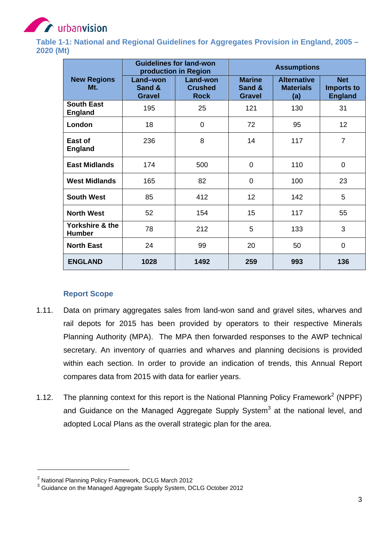

**Table 1-1: National and Regional Guidelines for Aggregates Provision in England, 2005 – 2020 (Mt)** 

|                                     |                                     | <b>Guidelines for land-won</b><br>production in Region | <b>Assumptions</b>                       |                                               |                                                   |  |  |  |
|-------------------------------------|-------------------------------------|--------------------------------------------------------|------------------------------------------|-----------------------------------------------|---------------------------------------------------|--|--|--|
| <b>New Regions</b><br>Mt.           | Land-won<br>Sand &<br><b>Gravel</b> | Land-won<br><b>Crushed</b><br><b>Rock</b>              | <b>Marine</b><br>Sand &<br><b>Gravel</b> | <b>Alternative</b><br><b>Materials</b><br>(a) | <b>Net</b><br><b>Imports to</b><br><b>England</b> |  |  |  |
| <b>South East</b><br><b>England</b> | 195                                 | 25                                                     | 121                                      | 130                                           | 31                                                |  |  |  |
| London                              | 18                                  | 0                                                      | 72                                       | 95                                            | 12 <sub>2</sub>                                   |  |  |  |
| East of<br><b>England</b>           | 236                                 | 8                                                      | 14                                       | 117                                           | $\overline{7}$                                    |  |  |  |
| <b>East Midlands</b>                | 174                                 | 500                                                    | $\overline{0}$                           | 110                                           | $\mathbf 0$                                       |  |  |  |
| <b>West Midlands</b>                | 165                                 | 82                                                     | $\overline{0}$                           | 100                                           | 23                                                |  |  |  |
| <b>South West</b>                   | 85                                  | 412                                                    | 12                                       | 142                                           | 5                                                 |  |  |  |
| <b>North West</b>                   | 52                                  | 154                                                    | 15                                       | 117                                           | 55                                                |  |  |  |
| Yorkshire & the<br><b>Humber</b>    | 78                                  | 212                                                    | 5                                        | 133                                           | 3                                                 |  |  |  |
| <b>North East</b>                   | 24                                  | 99                                                     | 20                                       | 50                                            | $\mathbf 0$                                       |  |  |  |
| <b>ENGLAND</b>                      | 1028                                | 1492                                                   | 259                                      | 993                                           | 136                                               |  |  |  |

#### **Report Scope**

- 1.11. Data on primary aggregates sales from land-won sand and gravel sites, wharves and rail depots for 2015 has been provided by operators to their respective Minerals Planning Authority (MPA). The MPA then forwarded responses to the AWP technical secretary. An inventory of quarries and wharves and planning decisions is provided within each section. In order to provide an indication of trends, this Annual Report compares data from 2015 with data for earlier years.
- 1.12. The planning context for this report is the National Planning Policy Framework<sup>2</sup> (NPPF) and Guidance on the Managed Aggregate Supply System<sup>3</sup> at the national level, and adopted Local Plans as the overall strategic plan for the area.

 $^2$  National Planning Policy Framework, DCLG March 2012<br> $^3$  Guidance on the Managed Aggregate Supply System, DCLG October 2012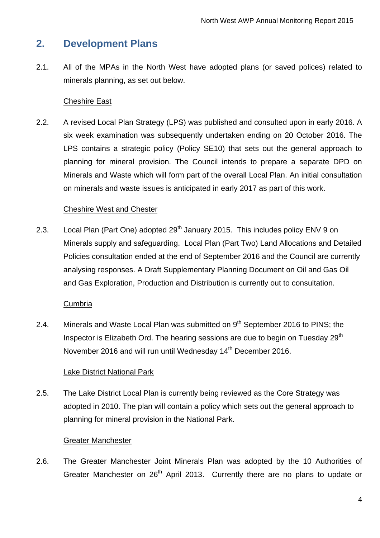## **2. Development Plans**

2.1. All of the MPAs in the North West have adopted plans (or saved polices) related to minerals planning, as set out below.

#### Cheshire East

2.2. A revised Local Plan Strategy (LPS) was published and consulted upon in early 2016. A six week examination was subsequently undertaken ending on 20 October 2016. The LPS contains a strategic policy (Policy SE10) that sets out the general approach to planning for mineral provision. The Council intends to prepare a separate DPD on Minerals and Waste which will form part of the overall Local Plan. An initial consultation on minerals and waste issues is anticipated in early 2017 as part of this work.

#### Cheshire West and Chester

2.3. Local Plan (Part One) adopted  $29<sup>th</sup>$  January 2015. This includes policy ENV 9 on Minerals supply and safeguarding. Local Plan (Part Two) Land Allocations and Detailed Policies consultation ended at the end of September 2016 and the Council are currently analysing responses. A Draft Supplementary Planning Document on Oil and Gas Oil and Gas Exploration, Production and Distribution is currently out to consultation.

#### **Cumbria**

2.4. Minerals and Waste Local Plan was submitted on  $9<sup>th</sup>$  September 2016 to PINS; the Inspector is Elizabeth Ord. The hearing sessions are due to begin on Tuesday 29<sup>th</sup> November 2016 and will run until Wednesday 14<sup>th</sup> December 2016.

#### Lake District National Park

2.5. The Lake District Local Plan is currently being reviewed as the Core Strategy was adopted in 2010. The plan will contain a policy which sets out the general approach to planning for mineral provision in the National Park.

#### Greater Manchester

2.6. The Greater Manchester Joint Minerals Plan was adopted by the 10 Authorities of Greater Manchester on  $26<sup>th</sup>$  April 2013. Currently there are no plans to update or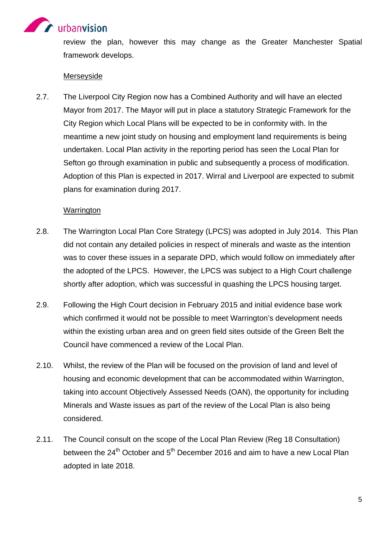

review the plan, however this may change as the Greater Manchester Spatial framework develops.

#### Merseyside

2.7. The Liverpool City Region now has a Combined Authority and will have an elected Mayor from 2017. The Mayor will put in place a statutory Strategic Framework for the City Region which Local Plans will be expected to be in conformity with. In the meantime a new joint study on housing and employment land requirements is being undertaken. Local Plan activity in the reporting period has seen the Local Plan for Sefton go through examination in public and subsequently a process of modification. Adoption of this Plan is expected in 2017. Wirral and Liverpool are expected to submit plans for examination during 2017.

#### **Warrington**

- 2.8. The Warrington Local Plan Core Strategy (LPCS) was adopted in July 2014. This Plan did not contain any detailed policies in respect of minerals and waste as the intention was to cover these issues in a separate DPD, which would follow on immediately after the adopted of the LPCS. However, the LPCS was subject to a High Court challenge shortly after adoption, which was successful in quashing the LPCS housing target.
- 2.9. Following the High Court decision in February 2015 and initial evidence base work which confirmed it would not be possible to meet Warrington's development needs within the existing urban area and on green field sites outside of the Green Belt the Council have commenced a review of the Local Plan.
- 2.10. Whilst, the review of the Plan will be focused on the provision of land and level of housing and economic development that can be accommodated within Warrington, taking into account Objectively Assessed Needs (OAN), the opportunity for including Minerals and Waste issues as part of the review of the Local Plan is also being considered.
- 2.11. The Council consult on the scope of the Local Plan Review (Reg 18 Consultation) between the  $24<sup>th</sup>$  October and  $5<sup>th</sup>$  December 2016 and aim to have a new Local Plan adopted in late 2018.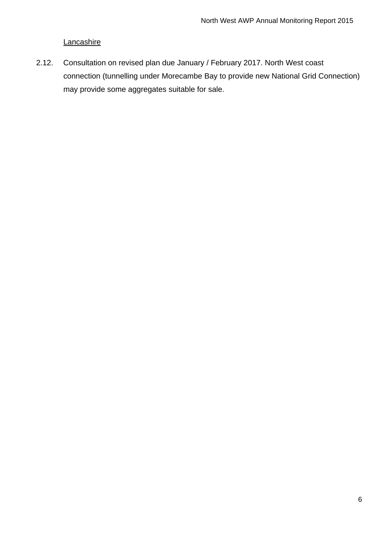#### **Lancashire**

2.12. Consultation on revised plan due January / February 2017. North West coast connection (tunnelling under Morecambe Bay to provide new National Grid Connection) may provide some aggregates suitable for sale.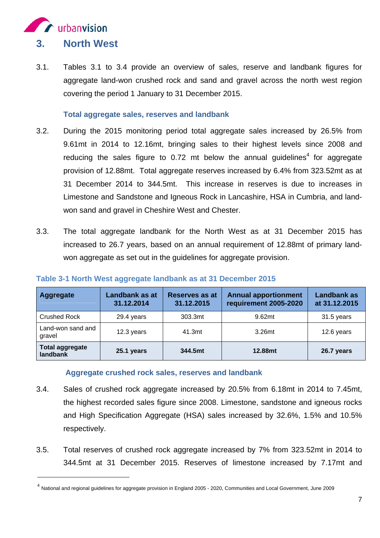

 $\overline{a}$ 

3.1. Tables 3.1 to 3.4 provide an overview of sales, reserve and landbank figures for aggregate land-won crushed rock and sand and gravel across the north west region covering the period 1 January to 31 December 2015.

#### **Total aggregate sales, reserves and landbank**

- 3.2. During the 2015 monitoring period total aggregate sales increased by 26.5% from 9.61mt in 2014 to 12.16mt, bringing sales to their highest levels since 2008 and reducing the sales figure to  $0.72$  mt below the annual guidelines<sup>4</sup> for aggregate provision of 12.88mt. Total aggregate reserves increased by 6.4% from 323.52mt as at 31 December 2014 to 344.5mt. This increase in reserves is due to increases in Limestone and Sandstone and Igneous Rock in Lancashire, HSA in Cumbria, and landwon sand and gravel in Cheshire West and Chester.
- 3.3. The total aggregate landbank for the North West as at 31 December 2015 has increased to 26.7 years, based on an annual requirement of 12.88mt of primary landwon aggregate as set out in the guidelines for aggregate provision.

| <b>Aggregate</b>                   | Landbank as at<br>31.12.2014 | <b>Reserves as at</b><br>31.12.2015 | <b>Annual apportionment</b><br>requirement 2005-2020 | <b>Landbank as</b><br>at 31.12.2015 |
|------------------------------------|------------------------------|-------------------------------------|------------------------------------------------------|-------------------------------------|
| <b>Crushed Rock</b>                | 29.4 years                   | 303.3mt                             | 9.62mt                                               | 31.5 years                          |
| Land-won sand and<br>gravel        | 12.3 years                   | 41.3mt                              | 3.26mt                                               | 12.6 years                          |
| <b>Total aggregate</b><br>landbank | 25.1 years                   | 344.5mt                             | 12.88mt                                              | 26.7 years                          |

#### **Table 3-1 North West aggregate landbank as at 31 December 2015**

#### **Aggregate crushed rock sales, reserves and landbank**

- 3.4. Sales of crushed rock aggregate increased by 20.5% from 6.18mt in 2014 to 7.45mt, the highest recorded sales figure since 2008. Limestone, sandstone and igneous rocks and High Specification Aggregate (HSA) sales increased by 32.6%, 1.5% and 10.5% respectively.
- 3.5. Total reserves of crushed rock aggregate increased by 7% from 323.52mt in 2014 to 344.5mt at 31 December 2015. Reserves of limestone increased by 7.17mt and

<sup>4</sup> National and regional guidelines for aggregate provision in England 2005 - 2020, Communities and Local Government, June 2009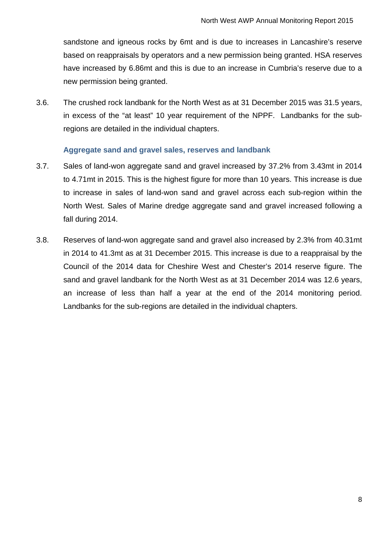sandstone and igneous rocks by 6mt and is due to increases in Lancashire's reserve based on reappraisals by operators and a new permission being granted. HSA reserves have increased by 6.86mt and this is due to an increase in Cumbria's reserve due to a new permission being granted.

3.6. The crushed rock landbank for the North West as at 31 December 2015 was 31.5 years, in excess of the "at least" 10 year requirement of the NPPF. Landbanks for the subregions are detailed in the individual chapters.

#### **Aggregate sand and gravel sales, reserves and landbank**

- 3.7. Sales of land-won aggregate sand and gravel increased by 37.2% from 3.43mt in 2014 to 4.71mt in 2015. This is the highest figure for more than 10 years. This increase is due to increase in sales of land-won sand and gravel across each sub-region within the North West. Sales of Marine dredge aggregate sand and gravel increased following a fall during 2014.
- 3.8. Reserves of land-won aggregate sand and gravel also increased by 2.3% from 40.31mt in 2014 to 41.3mt as at 31 December 2015. This increase is due to a reappraisal by the Council of the 2014 data for Cheshire West and Chester's 2014 reserve figure. The sand and gravel landbank for the North West as at 31 December 2014 was 12.6 years, an increase of less than half a year at the end of the 2014 monitoring period. Landbanks for the sub-regions are detailed in the individual chapters.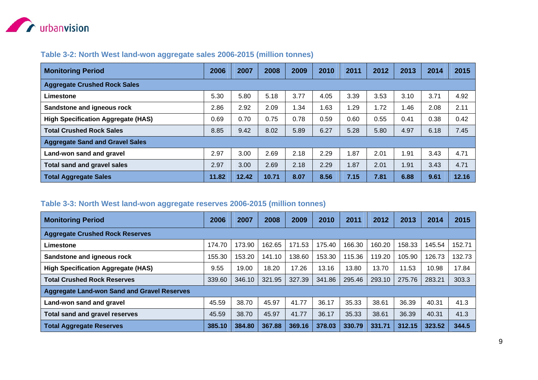

#### **Table 3-2: North West land-won aggregate sales 2006-2015 (million tonnes)**

| <b>Monitoring Period</b>                  | 2006  | 2007  | 2008  | 2009 | 2010 | 2011 | 2012 | 2013 | 2014 | 2015  |
|-------------------------------------------|-------|-------|-------|------|------|------|------|------|------|-------|
| <b>Aggregate Crushed Rock Sales</b>       |       |       |       |      |      |      |      |      |      |       |
| Limestone                                 | 5.30  | 5.80  | 5.18  | 3.77 | 4.05 | 3.39 | 3.53 | 3.10 | 3.71 | 4.92  |
| Sandstone and igneous rock                | 2.86  | 2.92  | 2.09  | 1.34 | .63  | l.29 | 1.72 | .46  | 2.08 | 2.11  |
| <b>High Specification Aggregate (HAS)</b> | 0.69  | 0.70  | 0.75  | 0.78 | 0.59 | 0.60 | 0.55 | 0.41 | 0.38 | 0.42  |
| <b>Total Crushed Rock Sales</b>           | 8.85  | 9.42  | 8.02  | 5.89 | 6.27 | 5.28 | 5.80 | 4.97 | 6.18 | 7.45  |
| <b>Aggregate Sand and Gravel Sales</b>    |       |       |       |      |      |      |      |      |      |       |
| Land-won sand and gravel                  | 2.97  | 3.00  | 2.69  | 2.18 | 2.29 | 1.87 | 2.01 | .91  | 3.43 | 4.71  |
| <b>Total sand and gravel sales</b>        | 2.97  | 3.00  | 2.69  | 2.18 | 2.29 | 1.87 | 2.01 | 1.91 | 3.43 | 4.71  |
| <b>Total Aggregate Sales</b>              | 11.82 | 12.42 | 10.71 | 8.07 | 8.56 | 7.15 | 7.81 | 6.88 | 9.61 | 12.16 |

#### **Table 3-3: North West land-won aggregate reserves 2006-2015 (million tonnes)**

| <b>Monitoring Period</b>                           | 2006   | 2007   | 2008   | 2009   | 2010   | 2011   | 2012   | 2013   | 2014   | 2015   |
|----------------------------------------------------|--------|--------|--------|--------|--------|--------|--------|--------|--------|--------|
| <b>Aggregate Crushed Rock Reserves</b>             |        |        |        |        |        |        |        |        |        |        |
| Limestone                                          | 174.70 | 173.90 | 162.65 | 171.53 | 175.40 | 166.30 | 160.20 | 158.33 | 145.54 | 152.71 |
| Sandstone and igneous rock                         | 155.30 | 153.20 | 141.10 | 138.60 | 153.30 | 115.36 | 119.20 | 105.90 | 126.73 | 132.73 |
| <b>High Specification Aggregate (HAS)</b>          | 9.55   | 19.00  | 18.20  | 17.26  | 13.16  | 13.80  | 13.70  | 11.53  | 10.98  | 17.84  |
| <b>Total Crushed Rock Reserves</b>                 | 339.60 | 346.10 | 321.95 | 327.39 | 341.86 | 295.46 | 293.10 | 275.76 | 283.21 | 303.3  |
| <b>Aggregate Land-won Sand and Gravel Reserves</b> |        |        |        |        |        |        |        |        |        |        |
| Land-won sand and gravel                           | 45.59  | 38.70  | 45.97  | 41.77  | 36.17  | 35.33  | 38.61  | 36.39  | 40.31  | 41.3   |
| Total sand and gravel reserves                     | 45.59  | 38.70  | 45.97  | 41.77  | 36.17  | 35.33  | 38.61  | 36.39  | 40.31  | 41.3   |
| <b>Total Aggregate Reserves</b>                    | 385.10 | 384.80 | 367.88 | 369.16 | 378.03 | 330.79 | 331.71 | 312.15 | 323.52 | 344.5  |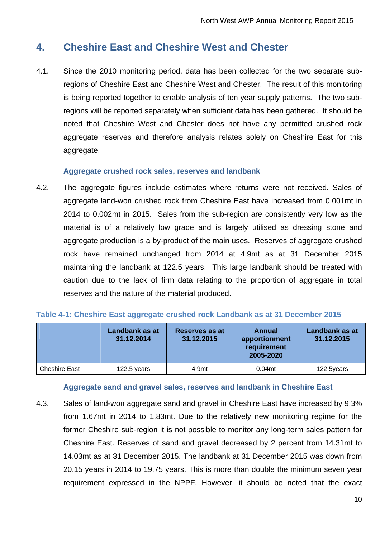# **4. Cheshire East and Cheshire West and Chester**

4.1. Since the 2010 monitoring period, data has been collected for the two separate subregions of Cheshire East and Cheshire West and Chester. The result of this monitoring is being reported together to enable analysis of ten year supply patterns. The two subregions will be reported separately when sufficient data has been gathered. It should be noted that Cheshire West and Chester does not have any permitted crushed rock aggregate reserves and therefore analysis relates solely on Cheshire East for this aggregate.

#### **Aggregate crushed rock sales, reserves and landbank**

4.2. The aggregate figures include estimates where returns were not received. Sales of aggregate land-won crushed rock from Cheshire East have increased from 0.001mt in 2014 to 0.002mt in 2015. Sales from the sub-region are consistently very low as the material is of a relatively low grade and is largely utilised as dressing stone and aggregate production is a by-product of the main uses. Reserves of aggregate crushed rock have remained unchanged from 2014 at 4.9mt as at 31 December 2015 maintaining the landbank at 122.5 years. This large landbank should be treated with caution due to the lack of firm data relating to the proportion of aggregate in total reserves and the nature of the material produced.

|                      | Landbank as at<br>31.12.2014 | Reserves as at<br>31.12.2015 | Annual<br>apportionment<br>requirement<br>2005-2020 | <b>Landbank as at</b><br>31.12.2015 |
|----------------------|------------------------------|------------------------------|-----------------------------------------------------|-------------------------------------|
| <b>Cheshire East</b> | 122.5 years                  | 4.9mt                        | 0.04 <sub>mt</sub>                                  | 122.5years                          |

#### **Table 4-1: Cheshire East aggregate crushed rock Landbank as at 31 December 2015**

#### **Aggregate sand and gravel sales, reserves and landbank in Cheshire East**

4.3. Sales of land-won aggregate sand and gravel in Cheshire East have increased by 9.3% from 1.67mt in 2014 to 1.83mt. Due to the relatively new monitoring regime for the former Cheshire sub-region it is not possible to monitor any long-term sales pattern for Cheshire East. Reserves of sand and gravel decreased by 2 percent from 14.31mt to 14.03mt as at 31 December 2015. The landbank at 31 December 2015 was down from 20.15 years in 2014 to 19.75 years. This is more than double the minimum seven year requirement expressed in the NPPF. However, it should be noted that the exact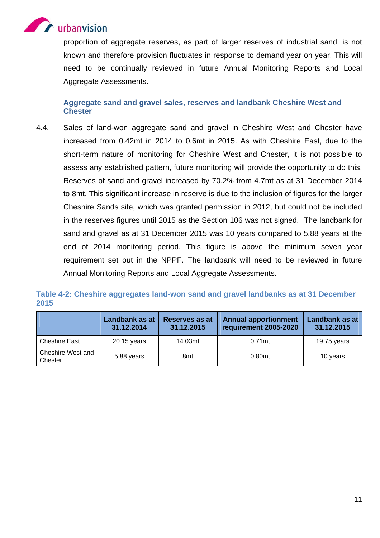

proportion of aggregate reserves, as part of larger reserves of industrial sand, is not known and therefore provision fluctuates in response to demand year on year. This will need to be continually reviewed in future Annual Monitoring Reports and Local Aggregate Assessments.

#### **Aggregate sand and gravel sales, reserves and landbank Cheshire West and Chester**

4.4. Sales of land-won aggregate sand and gravel in Cheshire West and Chester have increased from 0.42mt in 2014 to 0.6mt in 2015. As with Cheshire East, due to the short-term nature of monitoring for Cheshire West and Chester, it is not possible to assess any established pattern, future monitoring will provide the opportunity to do this. Reserves of sand and gravel increased by 70.2% from 4.7mt as at 31 December 2014 to 8mt. This significant increase in reserve is due to the inclusion of figures for the larger Cheshire Sands site, which was granted permission in 2012, but could not be included in the reserves figures until 2015 as the Section 106 was not signed. The landbank for sand and gravel as at 31 December 2015 was 10 years compared to 5.88 years at the end of 2014 monitoring period. This figure is above the minimum seven year requirement set out in the NPPF. The landbank will need to be reviewed in future Annual Monitoring Reports and Local Aggregate Assessments.

|                              | Landbank as at<br>31.12.2014 | Reserves as at<br>31.12.2015 | <b>Annual apportionment</b><br>requirement 2005-2020 | Landbank as at<br>31.12.2015 |
|------------------------------|------------------------------|------------------------------|------------------------------------------------------|------------------------------|
| <b>Cheshire East</b>         | 20.15 years                  | 14.03mt                      | $0.71$ mt                                            | 19.75 years                  |
| Cheshire West and<br>Chester | 5.88 years                   | 8 <sub>mt</sub>              | 0.80mt                                               | 10 years                     |

#### **Table 4-2: Cheshire aggregates land-won sand and gravel landbanks as at 31 December 2015**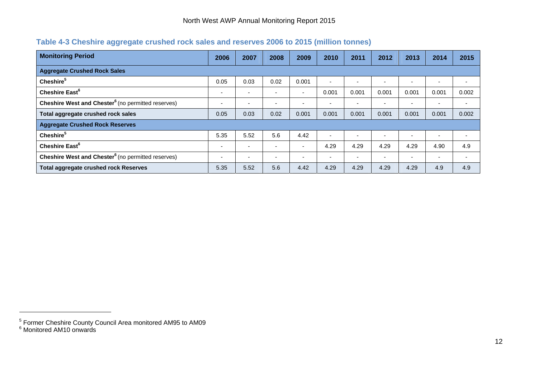#### **Table 4-3 Cheshire aggregate crushed rock sales and reserves 2006 to 2015 (million tonnes)**

| <b>Monitoring Period</b>                                             | 2006                     | 2007 | 2008                     | 2009                     | 2010                     | 2011                     | 2012  | 2013  | 2014                     | 2015                     |
|----------------------------------------------------------------------|--------------------------|------|--------------------------|--------------------------|--------------------------|--------------------------|-------|-------|--------------------------|--------------------------|
| <b>Aggregate Crushed Rock Sales</b>                                  |                          |      |                          |                          |                          |                          |       |       |                          |                          |
| Cheshire <sup>5</sup>                                                | 0.05                     | 0.03 | 0.02                     | 0.001                    | $\overline{\phantom{a}}$ | $\overline{\phantom{0}}$ |       |       |                          |                          |
| Cheshire East <sup>6</sup>                                           |                          |      | $\overline{\phantom{a}}$ | $\overline{\phantom{0}}$ | 0.001                    | 0.001                    | 0.001 | 0.001 | 0.001                    | 0.002                    |
| <b>Cheshire West and Chester<sup>6</sup></b> (no permitted reserves) | $\overline{\phantom{0}}$ |      | $\overline{\phantom{0}}$ | $\overline{\phantom{0}}$ | $\overline{\phantom{0}}$ | -                        |       | -     | -                        | $\overline{\phantom{0}}$ |
| Total aggregate crushed rock sales                                   | 0.05                     | 0.03 | 0.02                     | 0.001                    | 0.001                    | 0.001                    | 0.001 | 0.001 | 0.001                    | 0.002                    |
| <b>Aggregate Crushed Rock Reserves</b>                               |                          |      |                          |                          |                          |                          |       |       |                          |                          |
| Cheshire <sup>5</sup>                                                | 5.35                     | 5.52 | 5.6                      | 4.42                     | $\overline{\phantom{a}}$ | $\overline{\phantom{0}}$ |       |       |                          |                          |
| Cheshire East <sup>6</sup>                                           |                          |      | $\overline{\phantom{a}}$ | $\overline{\phantom{0}}$ | 4.29                     | 4.29                     | 4.29  | 4.29  | 4.90                     | 4.9                      |
| Cheshire West and Chester <sup>6</sup> (no permitted reserves)       | $\overline{\phantom{0}}$ |      | $\overline{\phantom{0}}$ |                          | $\overline{\phantom{0}}$ | $\overline{\phantom{0}}$ |       |       | $\overline{\phantom{0}}$ | -                        |
| <b>Total aggregate crushed rock Reserves</b>                         | 5.35                     | 5.52 | 5.6                      | 4.42                     | 4.29                     | 4.29                     | 4.29  | 4.29  | 4.9                      | 4.9                      |

 $<sup>5</sup>$  Former Cheshire County Council Area monitored AM95 to AM09<br><sup>6</sup> Monitored AM10 onwards</sup>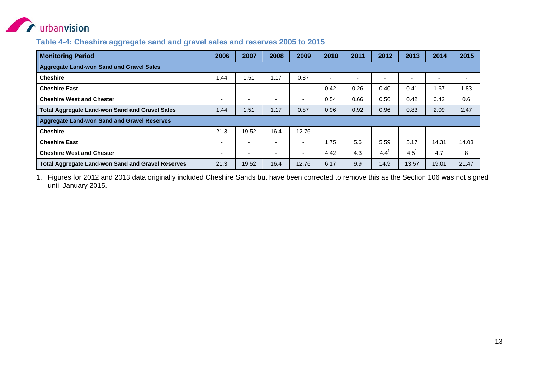

#### **Table 4-4: Cheshire aggregate sand and gravel sales and reserves 2005 to 2015**

| <b>Monitoring Period</b>                                 | 2006                     | 2007  | 2008                     | 2009  | 2010           | 2011                     | 2012          | 2013    | 2014  | 2015   |
|----------------------------------------------------------|--------------------------|-------|--------------------------|-------|----------------|--------------------------|---------------|---------|-------|--------|
| <b>Aggregate Land-won Sand and Gravel Sales</b>          |                          |       |                          |       |                |                          |               |         |       |        |
| <b>Cheshire</b>                                          | .44                      | 1.51  | 1.17                     | 0.87  | $\blacksquare$ | $\overline{\phantom{0}}$ | . .           |         |       | $\sim$ |
| <b>Cheshire East</b>                                     | $\overline{\phantom{a}}$ |       | $\overline{\phantom{0}}$ | ۰.    | 0.42           | 0.26                     | 0.40          | 0.41    | 1.67  | 1.83   |
| <b>Cheshire West and Chester</b>                         | $\overline{a}$           |       | $\overline{\phantom{0}}$ | -     | 0.54           | 0.66                     | 0.56          | 0.42    | 0.42  | 0.6    |
| <b>Total Aggregate Land-won Sand and Gravel Sales</b>    | 1.44                     | 1.51  | 1.17                     | 0.87  | 0.96           | 0.92                     | 0.96          | 0.83    | 2.09  | 2.47   |
| <b>Aggregate Land-won Sand and Gravel Reserves</b>       |                          |       |                          |       |                |                          |               |         |       |        |
| <b>Cheshire</b>                                          | 21.3                     | 19.52 | 16.4                     | 12.76 | ٠              | $\overline{\phantom{0}}$ |               |         |       |        |
| <b>Cheshire East</b>                                     | $\overline{a}$           |       | $\overline{\phantom{0}}$ | ۰.    | 1.75           | 5.6                      | 5.59          | 5.17    | 14.31 | 14.03  |
| <b>Cheshire West and Chester</b>                         |                          |       |                          | -     | 4.42           | 4.3                      | $4.4^{\circ}$ | $4.5^1$ | 4.7   | 8      |
| <b>Total Aggregate Land-won Sand and Gravel Reserves</b> | 21.3                     | 19.52 | 16.4                     | 12.76 | 6.17           | 9.9                      | 14.9          | 13.57   | 19.01 | 21.47  |

1. Figures for 2012 and 2013 data originally included Cheshire Sands but have been corrected to remove this as the Section 106 was not signed until January 2015.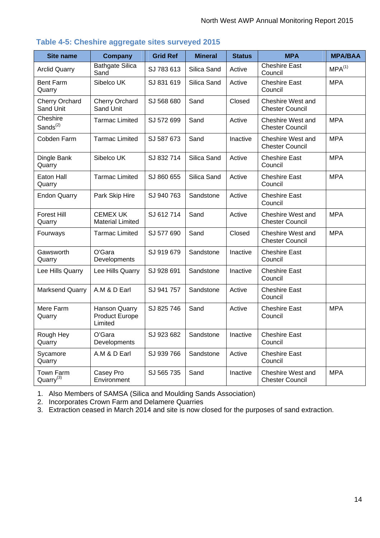| <b>Site name</b>                   | <b>Company</b>                                    | <b>Grid Ref</b> | <b>Mineral</b> | <b>Status</b> | <b>MPA</b>                                  | <b>MPA/BAA</b> |
|------------------------------------|---------------------------------------------------|-----------------|----------------|---------------|---------------------------------------------|----------------|
| <b>Arclid Quarry</b>               | <b>Bathgate Silica</b><br>Sand                    | SJ 783 613      | Silica Sand    | Active        | <b>Cheshire East</b><br>Council             | $MPA^{(1)}$    |
| <b>Bent Farm</b><br>Quarry         | Sibelco UK                                        | SJ 831 619      | Silica Sand    | Active        | <b>Cheshire East</b><br>Council             | <b>MPA</b>     |
| Cherry Orchard<br>Sand Unit        | Cherry Orchard<br>Sand Unit                       | SJ 568 680      | Sand           | Closed        | Cheshire West and<br><b>Chester Council</b> |                |
| Cheshire<br>Sands <sup>(2)</sup>   | <b>Tarmac Limited</b>                             | SJ 572 699      | Sand           | Active        | Cheshire West and<br><b>Chester Council</b> | <b>MPA</b>     |
| Cobden Farm                        | <b>Tarmac Limited</b>                             | SJ 587 673      | Sand           | Inactive      | Cheshire West and<br><b>Chester Council</b> | <b>MPA</b>     |
| Dingle Bank<br>Quarry              | Sibelco UK                                        | SJ 832714       | Silica Sand    | Active        | <b>Cheshire East</b><br>Council             | <b>MPA</b>     |
| Eaton Hall<br>Quarry               | <b>Tarmac Limited</b>                             | SJ 860 655      | Silica Sand    | Active        | <b>Cheshire East</b><br>Council             | <b>MPA</b>     |
| <b>Endon Quarry</b>                | Park Skip Hire                                    | SJ 940 763      | Sandstone      | Active        | <b>Cheshire East</b><br>Council             |                |
| Forest Hill<br>Quarry              | <b>CEMEX UK</b><br><b>Material Limited</b>        | SJ 612714       | Sand           | Active        | Cheshire West and<br><b>Chester Council</b> | <b>MPA</b>     |
| Fourways                           | <b>Tarmac Limited</b>                             | SJ 577 690      | Sand           | Closed        | Cheshire West and<br><b>Chester Council</b> | <b>MPA</b>     |
| Gawsworth<br>Quarry                | O'Gara<br>Developments                            | SJ 919 679      | Sandstone      | Inactive      | <b>Cheshire East</b><br>Council             |                |
| Lee Hills Quarry                   | Lee Hills Quarry                                  | SJ 928 691      | Sandstone      | Inactive      | <b>Cheshire East</b><br>Council             |                |
| <b>Marksend Quarry</b>             | A.M & D Earl                                      | SJ 941 757      | Sandstone      | Active        | <b>Cheshire East</b><br>Council             |                |
| Mere Farm<br>Quarry                | Hanson Quarry<br><b>Product Europe</b><br>Limited | SJ 825 746      | Sand           | Active        | <b>Cheshire East</b><br>Council             | <b>MPA</b>     |
| Rough Hey<br>Quarry                | O'Gara<br>Developments                            | SJ 923 682      | Sandstone      | Inactive      | <b>Cheshire East</b><br>Council             |                |
| Sycamore<br>Quarry                 | A.M & D Earl                                      | SJ 939 766      | Sandstone      | Active        | <b>Cheshire East</b><br>Council             |                |
| Town Farm<br>Quarry <sup>(3)</sup> | Casey Pro<br>Environment                          | SJ 565 735      | Sand           | Inactive      | Cheshire West and<br><b>Chester Council</b> | <b>MPA</b>     |

#### **Table 4-5: Cheshire aggregate sites surveyed 2015**

1. Also Members of SAMSA (Silica and Moulding Sands Association)

2. Incorporates Crown Farm and Delamere Quarries

3. Extraction ceased in March 2014 and site is now closed for the purposes of sand extraction.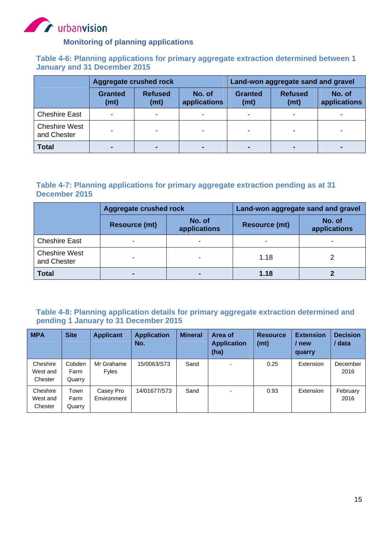

#### **Monitoring of planning applications**

#### **Table 4-6: Planning applications for primary aggregate extraction determined between 1 January and 31 December 2015**

|                                     | Aggregate crushed rock                   |  |                        | Land-won aggregate sand and gravel |                        |                        |  |  |
|-------------------------------------|------------------------------------------|--|------------------------|------------------------------------|------------------------|------------------------|--|--|
|                                     | <b>Refused</b><br><b>Granted</b><br>(mt) |  | No. of<br>applications | <b>Granted</b><br>(mt)             | <b>Refused</b><br>(mt) | No. of<br>applications |  |  |
| <b>Cheshire East</b>                | ۰                                        |  |                        |                                    |                        |                        |  |  |
| <b>Cheshire West</b><br>and Chester |                                          |  |                        |                                    |                        |                        |  |  |
| <b>Total</b>                        |                                          |  |                        |                                    |                        |                        |  |  |

#### **Table 4-7: Planning applications for primary aggregate extraction pending as at 31 December 2015**

|                                     | <b>Aggregate crushed rock</b> |                        | Land-won aggregate sand and gravel |                        |  |  |
|-------------------------------------|-------------------------------|------------------------|------------------------------------|------------------------|--|--|
|                                     | <b>Resource (mt)</b>          | No. of<br>applications | <b>Resource (mt)</b>               | No. of<br>applications |  |  |
| <b>Cheshire East</b>                | ٠                             | -                      |                                    |                        |  |  |
| <b>Cheshire West</b><br>and Chester | $\overline{\phantom{0}}$      | -                      | 1.18                               |                        |  |  |
| <b>Total</b>                        |                               |                        | 1.18                               |                        |  |  |

#### **Table 4-8: Planning application details for primary aggregate extraction determined and pending 1 January to 31 December 2015**

| <b>MPA</b>                      | <b>Site</b>              | <b>Applicant</b>         | <b>Application</b><br>No. | <b>Mineral</b> | Area of<br><b>Application</b><br>(ha) | <b>Resource</b><br>(mt) | <b>Extension</b><br>new<br>quarry | <b>Decision</b><br>data |
|---------------------------------|--------------------------|--------------------------|---------------------------|----------------|---------------------------------------|-------------------------|-----------------------------------|-------------------------|
| Cheshire<br>West and<br>Chester | Cobden<br>Farm<br>Quarry | Mr Grahame<br>Fyles      | 15/0063/S73               | Sand           | $\overline{\phantom{0}}$              | 0.25                    | Extension                         | December<br>2016        |
| Cheshire<br>West and<br>Chester | Town<br>Farm<br>Quarry   | Casey Pro<br>Environment | 14/01677/S73              | Sand           |                                       | 0.93                    | Extension                         | February<br>2016        |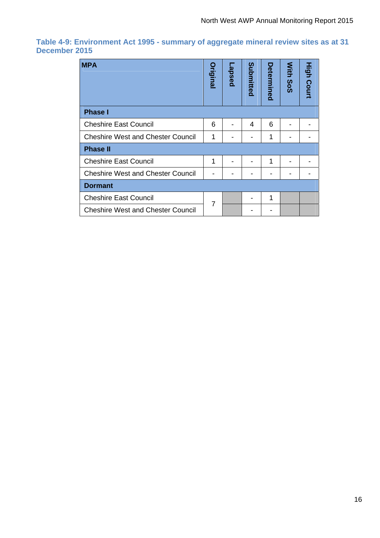#### **Table 4-9: Environment Act 1995 - summary of aggregate mineral review sites as at 31 December 2015**

| <b>MPA</b>                               |   | apsed | Submitted | Determined | With<br>SoS | <b>High Court</b> |
|------------------------------------------|---|-------|-----------|------------|-------------|-------------------|
| <b>Phase I</b>                           |   |       |           |            |             |                   |
| <b>Cheshire East Council</b>             | 6 |       | 4         | 6          |             |                   |
| <b>Cheshire West and Chester Council</b> | 1 |       |           | 1          |             |                   |
| <b>Phase II</b>                          |   |       |           |            |             |                   |
| <b>Cheshire East Council</b>             | 1 |       |           | 1          |             |                   |
| <b>Cheshire West and Chester Council</b> |   |       |           |            |             |                   |
| <b>Dormant</b>                           |   |       |           |            |             |                   |
| <b>Cheshire East Council</b>             | 7 |       |           | 1          |             |                   |
| <b>Cheshire West and Chester Council</b> |   |       |           |            |             |                   |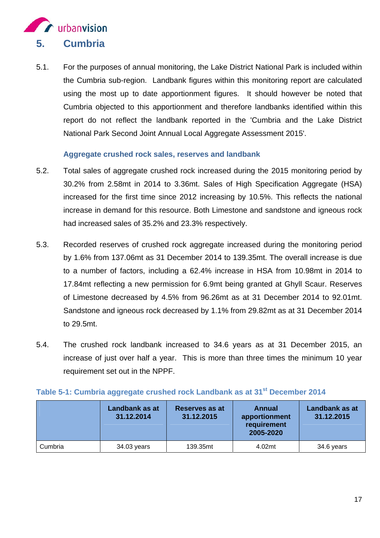

5.1. For the purposes of annual monitoring, the Lake District National Park is included within the Cumbria sub-region. Landbank figures within this monitoring report are calculated using the most up to date apportionment figures. It should however be noted that Cumbria objected to this apportionment and therefore landbanks identified within this report do not reflect the landbank reported in the 'Cumbria and the Lake District National Park Second Joint Annual Local Aggregate Assessment 2015'.

#### **Aggregate crushed rock sales, reserves and landbank**

- 5.2. Total sales of aggregate crushed rock increased during the 2015 monitoring period by 30.2% from 2.58mt in 2014 to 3.36mt. Sales of High Specification Aggregate (HSA) increased for the first time since 2012 increasing by 10.5%. This reflects the national increase in demand for this resource. Both Limestone and sandstone and igneous rock had increased sales of 35.2% and 23.3% respectively.
- 5.3. Recorded reserves of crushed rock aggregate increased during the monitoring period by 1.6% from 137.06mt as 31 December 2014 to 139.35mt. The overall increase is due to a number of factors, including a 62.4% increase in HSA from 10.98mt in 2014 to 17.84mt reflecting a new permission for 6.9mt being granted at Ghyll Scaur. Reserves of Limestone decreased by 4.5% from 96.26mt as at 31 December 2014 to 92.01mt. Sandstone and igneous rock decreased by 1.1% from 29.82mt as at 31 December 2014 to 29.5mt.
- 5.4. The crushed rock landbank increased to 34.6 years as at 31 December 2015, an increase of just over half a year. This is more than three times the minimum 10 year requirement set out in the NPPF.

|         | Landbank as at<br>31.12.2014 | Reserves as at<br>31.12.2015 | Annual<br>apportionment<br>requirement<br>2005-2020 | <b>Landbank as at</b><br>31.12.2015 |
|---------|------------------------------|------------------------------|-----------------------------------------------------|-------------------------------------|
| Cumbria | 34.03 years                  | 139.35mt                     | 4.02mt                                              | 34.6 years                          |

#### **Table 5-1: Cumbria aggregate crushed rock Landbank as at 31<sup>st</sup> December 2014**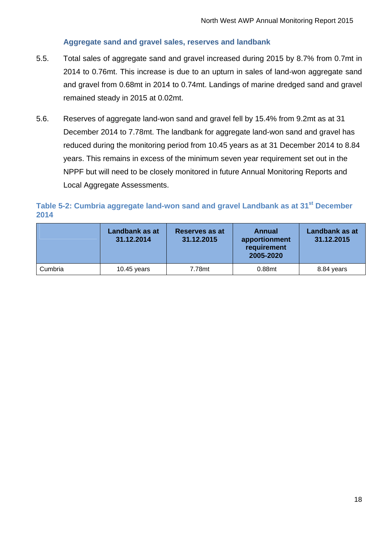#### **Aggregate sand and gravel sales, reserves and landbank**

- 5.5. Total sales of aggregate sand and gravel increased during 2015 by 8.7% from 0.7mt in 2014 to 0.76mt. This increase is due to an upturn in sales of land-won aggregate sand and gravel from 0.68mt in 2014 to 0.74mt. Landings of marine dredged sand and gravel remained steady in 2015 at 0.02mt.
- 5.6. Reserves of aggregate land-won sand and gravel fell by 15.4% from 9.2mt as at 31 December 2014 to 7.78mt. The landbank for aggregate land-won sand and gravel has reduced during the monitoring period from 10.45 years as at 31 December 2014 to 8.84 years. This remains in excess of the minimum seven year requirement set out in the NPPF but will need to be closely monitored in future Annual Monitoring Reports and Local Aggregate Assessments.

#### Table 5-2: Cumbria aggregate land-won sand and gravel Landbank as at 31<sup>st</sup> December **2014**

|         | Landbank as at<br>31.12.2014 | Reserves as at<br>Annual<br>31.12.2015<br>apportionment<br>requirement<br>2005-2020 |        | <b>Landbank as at</b><br>31.12.2015 |
|---------|------------------------------|-------------------------------------------------------------------------------------|--------|-------------------------------------|
| Cumbria | 10.45 years                  | 7.78mt                                                                              | 0.88mt | 8.84 years                          |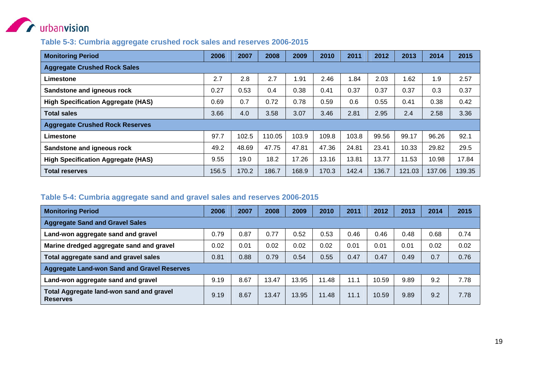

#### **Table 5-3: Cumbria aggregate crushed rock sales and reserves 2006-2015**

| <b>Monitoring Period</b>                  | 2006  | 2007  | 2008   | 2009  | 2010  | 2011  | 2012  | 2013   | 2014   | 2015   |
|-------------------------------------------|-------|-------|--------|-------|-------|-------|-------|--------|--------|--------|
| <b>Aggregate Crushed Rock Sales</b>       |       |       |        |       |       |       |       |        |        |        |
| Limestone                                 | 2.7   | 2.8   | 2.7    | .91   | 2.46  | .84   | 2.03  | 1.62   | 1.9    | 2.57   |
| Sandstone and igneous rock                | 0.27  | 0.53  | 0.4    | 0.38  | 0.41  | 0.37  | 0.37  | 0.37   | 0.3    | 0.37   |
| <b>High Specification Aggregate (HAS)</b> | 0.69  | 0.7   | 0.72   | 0.78  | 0.59  | 0.6   | 0.55  | 0.41   | 0.38   | 0.42   |
| <b>Total sales</b>                        | 3.66  | 4.0   | 3.58   | 3.07  | 3.46  | 2.81  | 2.95  | 2.4    | 2.58   | 3.36   |
| <b>Aggregate Crushed Rock Reserves</b>    |       |       |        |       |       |       |       |        |        |        |
| Limestone                                 | 97.7  | 102.5 | 110.05 | 103.9 | 109.8 | 103.8 | 99.56 | 99.17  | 96.26  | 92.1   |
| Sandstone and igneous rock                | 49.2  | 48.69 | 47.75  | 47.81 | 47.36 | 24.81 | 23.41 | 10.33  | 29.82  | 29.5   |
| <b>High Specification Aggregate (HAS)</b> | 9.55  | 19.0  | 18.2   | 17.26 | 13.16 | 13.81 | 13.77 | 11.53  | 10.98  | 17.84  |
| <b>Total reserves</b>                     | 156.5 | 170.2 | 186.7  | 168.9 | 170.3 | 142.4 | 136.7 | 121.03 | 137.06 | 139.35 |

#### **Table 5-4: Cumbria aggregate sand and gravel sales and reserves 2006-2015**

| <b>Monitoring Period</b>                                           | 2006 | 2007 | 2008  | 2009  | 2010  | 2011 | 2012  | 2013 | 2014 | 2015 |  |
|--------------------------------------------------------------------|------|------|-------|-------|-------|------|-------|------|------|------|--|
| <b>Aggregate Sand and Gravel Sales</b>                             |      |      |       |       |       |      |       |      |      |      |  |
| Land-won aggregate sand and gravel                                 | 0.79 | 0.87 | 0.77  | 0.52  | 0.53  | 0.46 | 0.46  | 0.48 | 0.68 | 0.74 |  |
| Marine dredged aggregate sand and gravel                           | 0.02 | 0.01 | 0.02  | 0.02  | 0.02  | 0.01 | 0.01  | 0.01 | 0.02 | 0.02 |  |
| Total aggregate sand and gravel sales                              | 0.81 | 0.88 | 0.79  | 0.54  | 0.55  | 0.47 | 0.47  | 0.49 | 0.7  | 0.76 |  |
| <b>Aggregate Land-won Sand and Gravel Reserves</b>                 |      |      |       |       |       |      |       |      |      |      |  |
| Land-won aggregate sand and gravel                                 | 9.19 | 8.67 | 13.47 | 13.95 | 11.48 | 11.1 | 10.59 | 9.89 | 9.2  | 7.78 |  |
| <b>Total Aggregate land-won sand and gravel</b><br><b>Reserves</b> | 9.19 | 8.67 | 13.47 | 13.95 | 11.48 | 11.1 | 10.59 | 9.89 | 9.2  | 7.78 |  |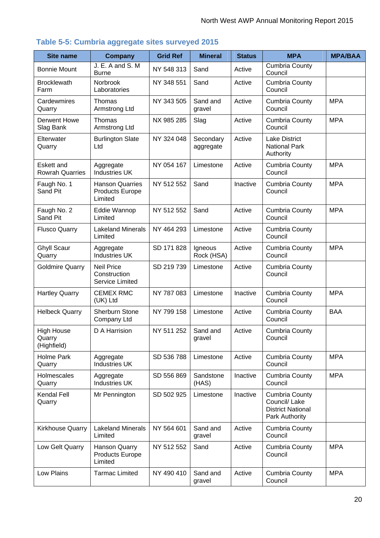| <b>Site name</b>                            | <b>Company</b>                                              | <b>Grid Ref</b> | <b>Mineral</b>         | <b>Status</b> | <b>MPA</b>                                                                           | <b>MPA/BAA</b> |
|---------------------------------------------|-------------------------------------------------------------|-----------------|------------------------|---------------|--------------------------------------------------------------------------------------|----------------|
|                                             | J. E. A and S. M                                            |                 |                        |               | <b>Cumbria County</b>                                                                |                |
| <b>Bonnie Mount</b>                         | <b>Burne</b>                                                | NY 548 313      | Sand                   | Active        | Council                                                                              |                |
| <b>Brocklewath</b><br>Farm                  | Norbrook<br>Laboratories                                    | NY 348 551      | Sand                   | Active        | <b>Cumbria County</b><br>Council                                                     |                |
| Cardewmires<br>Quarry                       | Thomas<br>Armstrong Ltd                                     | NY 343 505      | Sand and<br>gravel     | Active        | <b>Cumbria County</b><br>Council                                                     | <b>MPA</b>     |
| <b>Derwent Howe</b><br>Slag Bank            | Thomas<br>Armstrong Ltd                                     | NX 985 285      | Slag                   | Active        | <b>Cumbria County</b><br>Council                                                     | <b>MPA</b>     |
| Elterwater<br>Quarry                        | <b>Burlington Slate</b><br>Ltd                              | NY 324 048      | Secondary<br>aggregate | Active        | <b>Lake District</b><br><b>National Park</b><br>Authority                            |                |
| <b>Eskett and</b><br><b>Rowrah Quarries</b> | Aggregate<br><b>Industries UK</b>                           | NY 054 167      | Limestone              | Active        | <b>Cumbria County</b><br>Council                                                     | <b>MPA</b>     |
| Faugh No. 1<br>Sand Pit                     | <b>Hanson Quarries</b><br><b>Products Europe</b><br>Limited | NY 512 552      | Sand                   | Inactive      | <b>Cumbria County</b><br>Council                                                     | <b>MPA</b>     |
| Faugh No. 2<br>Sand Pit                     | Eddie Wannop<br>Limited                                     | NY 512 552      | Sand                   | Active        | <b>Cumbria County</b><br>Council                                                     | <b>MPA</b>     |
| <b>Flusco Quarry</b>                        | <b>Lakeland Minerals</b><br>Limited                         | NY 464 293      | Limestone              | Active        | <b>Cumbria County</b><br>Council                                                     |                |
| <b>Ghyll Scaur</b><br>Quarry                | Aggregate<br><b>Industries UK</b>                           | SD 171 828      | Igneous<br>Rock (HSA)  | Active        | <b>Cumbria County</b><br>Council                                                     | <b>MPA</b>     |
| <b>Goldmire Quarry</b>                      | <b>Neil Price</b><br>Construction<br>Service Limited        | SD 219739       | Limestone              | Active        | <b>Cumbria County</b><br>Council                                                     |                |
| <b>Hartley Quarry</b>                       | <b>CEMEX RMC</b><br>(UK) Ltd                                | NY 787 083      | Limestone              | Inactive      | <b>Cumbria County</b><br>Council                                                     | <b>MPA</b>     |
| <b>Helbeck Quarry</b>                       | Sherburn Stone<br>Company Ltd                               | NY 799 158      | Limestone              | Active        | <b>Cumbria County</b><br>Council                                                     | <b>BAA</b>     |
| <b>High House</b><br>Quarry<br>(Highfield)  | D A Harrision                                               | NY 511 252      | Sand and<br>gravel     | Active        | <b>Cumbria County</b><br>Council                                                     |                |
| <b>Holme Park</b><br>Quarry                 | Aggregate<br><b>Industries UK</b>                           | SD 536 788      | Limestone              | Active        | <b>Cumbria County</b><br>Council                                                     | <b>MPA</b>     |
| Holmescales<br>Quarry                       | Aggregate<br><b>Industries UK</b>                           | SD 556 869      | Sandstone<br>(HAS)     | Inactive      | <b>Cumbria County</b><br>Council                                                     | <b>MPA</b>     |
| Kendal Fell<br>Quarry                       | Mr Pennington                                               | SD 502 925      | Limestone              | Inactive      | <b>Cumbria County</b><br>Council/ Lake<br><b>District National</b><br>Park Authority |                |
| Kirkhouse Quarry                            | <b>Lakeland Minerals</b><br>Limited                         | NY 564 601      | Sand and<br>gravel     | Active        | <b>Cumbria County</b><br>Council                                                     |                |
| Low Gelt Quarry                             | Hanson Quarry<br><b>Products Europe</b><br>Limited          | NY 512 552      | Sand                   | Active        | <b>Cumbria County</b><br>Council                                                     | <b>MPA</b>     |
| Low Plains                                  | <b>Tarmac Limited</b>                                       | NY 490 410      | Sand and<br>gravel     | Active        | <b>Cumbria County</b><br>Council                                                     | <b>MPA</b>     |

#### **Table 5-5: Cumbria aggregate sites surveyed 2015**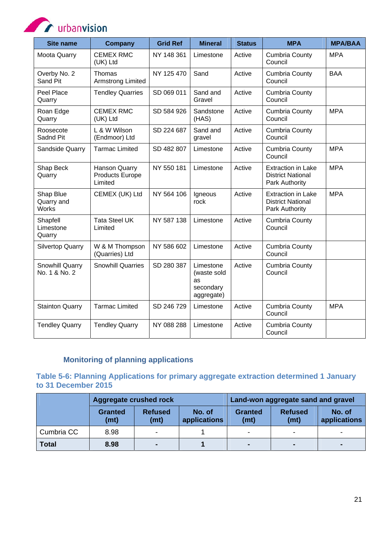**CONTROL** urbanvision

| <b>Site name</b>                        | <b>Company</b>                                     | <b>Grid Ref</b> | <b>Mineral</b>                                            | <b>Status</b> | <b>MPA</b>                                                              | <b>MPA/BAA</b> |
|-----------------------------------------|----------------------------------------------------|-----------------|-----------------------------------------------------------|---------------|-------------------------------------------------------------------------|----------------|
| <b>Moota Quarry</b>                     | <b>CEMEX RMC</b><br>(UK) Ltd                       | NY 148 361      | Limestone                                                 | Active        | <b>Cumbria County</b><br>Council                                        | <b>MPA</b>     |
| Overby No. 2<br>Sand Pit                | Thomas<br><b>Armstrong Limited</b>                 | NY 125 470      | Sand                                                      | Active        | Cumbria County<br>Council                                               | <b>BAA</b>     |
| Peel Place<br>Quarry                    | <b>Tendley Quarries</b>                            | SD 069 011      | Sand and<br>Gravel                                        | Active        | <b>Cumbria County</b><br>Council                                        |                |
| Roan Edge<br>Quarry                     | <b>CEMEX RMC</b><br>(UK) Ltd                       | SD 584 926      | Sandstone<br>(HAS)                                        | Active        | <b>Cumbria County</b><br>Council                                        | <b>MPA</b>     |
| Roosecote<br>Sadnd Pit                  | L & W Wilson<br>(Endmoor) Ltd                      | SD 224 687      | Sand and<br>gravel                                        | Active        | <b>Cumbria County</b><br>Council                                        |                |
| Sandside Quarry                         | <b>Tarmac Limited</b>                              | SD 482 807      | Limestone                                                 | Active        | <b>Cumbria County</b><br>Council                                        | <b>MPA</b>     |
| Shap Beck<br>Quarry                     | Hanson Quarry<br><b>Products Europe</b><br>Limited | NY 550 181      | Limestone                                                 | Active        | <b>Extraction in Lake</b><br><b>District National</b><br>Park Authority | <b>MPA</b>     |
| Shap Blue<br>Quarry and<br><b>Works</b> | CEMEX (UK) Ltd                                     | NY 564 106      | Igneous<br>rock                                           | Active        | <b>Extraction in Lake</b><br><b>District National</b><br>Park Authority | <b>MPA</b>     |
| Shapfell<br>Limestone<br>Quarry         | <b>Tata Steel UK</b><br>Limited                    | NY 587 138      | Limestone                                                 | Active        | <b>Cumbria County</b><br>Council                                        |                |
| <b>Silvertop Quarry</b>                 | W & M Thompson<br>(Quarries) Ltd                   | NY 586 602      | Limestone                                                 | Active        | <b>Cumbria County</b><br>Council                                        |                |
| Snowhill Quarry<br>No. 1 & No. 2        | <b>Snowhill Quarries</b>                           | SD 280 387      | Limestone<br>(waste sold<br>as<br>secondary<br>aggregate) | Active        | <b>Cumbria County</b><br>Council                                        |                |
| <b>Stainton Quarry</b>                  | <b>Tarmac Limited</b>                              | SD 246 729      | Limestone                                                 | Active        | <b>Cumbria County</b><br>Council                                        | <b>MPA</b>     |
| <b>Tendley Quarry</b>                   | <b>Tendley Quarry</b>                              | NY 088 288      | Limestone                                                 | Active        | Cumbria County<br>Council                                               |                |

#### **Monitoring of planning applications**

**Table 5-6: Planning Applications for primary aggregate extraction determined 1 January to 31 December 2015** 

|              | Aggregate crushed rock |                                                  | Land-won aggregate sand and gravel |                        |                        |                        |
|--------------|------------------------|--------------------------------------------------|------------------------------------|------------------------|------------------------|------------------------|
|              | <b>Granted</b><br>(mt) | <b>Refused</b><br>No. of<br>(mt)<br>applications |                                    | <b>Granted</b><br>(mt) | <b>Refused</b><br>(mt) | No. of<br>applications |
| Cumbria CC   | 8.98                   |                                                  |                                    |                        | $\,$                   |                        |
| <b>Total</b> | 8.98                   | -                                                |                                    |                        | $\blacksquare$         |                        |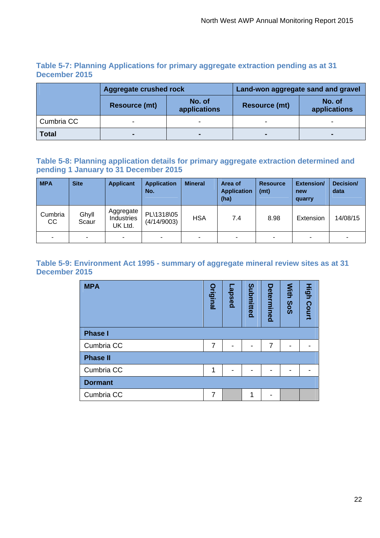#### **Table 5-7: Planning Applications for primary aggregate extraction pending as at 31 December 2015**

|              | Aggregate crushed rock |                        | Land-won aggregate sand and gravel |                        |  |  |
|--------------|------------------------|------------------------|------------------------------------|------------------------|--|--|
|              | <b>Resource (mt)</b>   | No. of<br>applications | <b>Resource (mt)</b>               | No. of<br>applications |  |  |
| Cumbria CC   |                        |                        |                                    |                        |  |  |
| <b>Total</b> |                        | $\blacksquare$         |                                    |                        |  |  |

#### **Table 5-8: Planning application details for primary aggregate extraction determined and pending 1 January to 31 December 2015**

| <b>MPA</b>    | <b>Site</b>    | <b>Applicant</b>                          | <b>Application</b><br>No. | <b>Mineral</b> | Area of<br><b>Application</b><br>(ha) | <b>Resource</b><br>(mt) | <b>Extension/</b><br>new<br>quarry | Decision/<br>data |
|---------------|----------------|-------------------------------------------|---------------------------|----------------|---------------------------------------|-------------------------|------------------------------------|-------------------|
| Cumbria<br>CC | Ghyll<br>Scaur | Aggregate<br><b>Industries</b><br>UK Ltd. | PL\1318\05<br>(4/14/9003) | <b>HSA</b>     | 7.4                                   | 8.98                    | Extension                          | 14/08/15          |
|               | $\blacksquare$ | $\blacksquare$                            | ۰                         |                | ۰                                     |                         | -                                  | ۰                 |

#### **Table 5-9: Environment Act 1995 - summary of aggregate mineral review sites as at 31 December 2015**

| <b>MPA</b>      | <b>Original</b> | -apsed | Submitted | Determined | With SoS | <b>High Court</b> |
|-----------------|-----------------|--------|-----------|------------|----------|-------------------|
| <b>Phase I</b>  |                 |        |           |            |          |                   |
| Cumbria CC      | 7               |        |           | 7          |          |                   |
| <b>Phase II</b> |                 |        |           |            |          |                   |
| Cumbria CC      | 1               |        |           |            |          |                   |
| <b>Dormant</b>  |                 |        |           |            |          |                   |
| Cumbria CC      |                 |        | 4         |            |          |                   |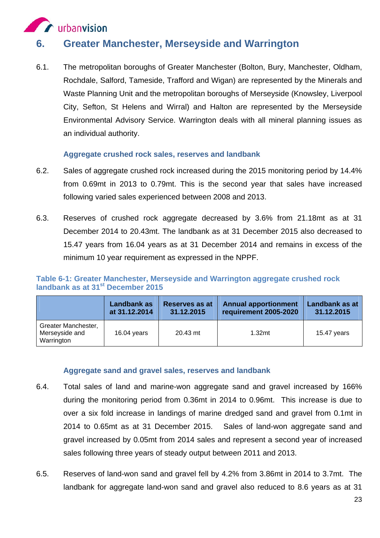

## **6. Greater Manchester, Merseyside and Warrington**

6.1. The metropolitan boroughs of Greater Manchester (Bolton, Bury, Manchester, Oldham, Rochdale, Salford, Tameside, Trafford and Wigan) are represented by the Minerals and Waste Planning Unit and the metropolitan boroughs of Merseyside (Knowsley, Liverpool City, Sefton, St Helens and Wirral) and Halton are represented by the Merseyside Environmental Advisory Service. Warrington deals with all mineral planning issues as an individual authority.

#### **Aggregate crushed rock sales, reserves and landbank**

- 6.2. Sales of aggregate crushed rock increased during the 2015 monitoring period by 14.4% from 0.69mt in 2013 to 0.79mt. This is the second year that sales have increased following varied sales experienced between 2008 and 2013.
- 6.3. Reserves of crushed rock aggregate decreased by 3.6% from 21.18mt as at 31 December 2014 to 20.43mt. The landbank as at 31 December 2015 also decreased to 15.47 years from 16.04 years as at 31 December 2014 and remains in excess of the minimum 10 year requirement as expressed in the NPPF.

#### **Table 6-1: Greater Manchester, Merseyside and Warrington aggregate crushed rock**  landbank as at 31<sup>st</sup> December 2015

|                                                     | Landbank as   | <b>Reserves as at</b> | <b>Annual apportionment</b> | Landbank as at |
|-----------------------------------------------------|---------------|-----------------------|-----------------------------|----------------|
|                                                     | at 31.12.2014 | 31.12.2015            | requirement 2005-2020       | 31.12.2015     |
| Greater Manchester,<br>Merseyside and<br>Warrington | 16.04 years   | 20.43 mt              | 1.32 <sub>mt</sub>          | 15.47 years    |

#### **Aggregate sand and gravel sales, reserves and landbank**

- 6.4. Total sales of land and marine-won aggregate sand and gravel increased by 166% during the monitoring period from 0.36mt in 2014 to 0.96mt. This increase is due to over a six fold increase in landings of marine dredged sand and gravel from 0.1mt in 2014 to 0.65mt as at 31 December 2015. Sales of land-won aggregate sand and gravel increased by 0.05mt from 2014 sales and represent a second year of increased sales following three years of steady output between 2011 and 2013.
- 6.5. Reserves of land-won sand and gravel fell by 4.2% from 3.86mt in 2014 to 3.7mt. The landbank for aggregate land-won sand and gravel also reduced to 8.6 years as at 31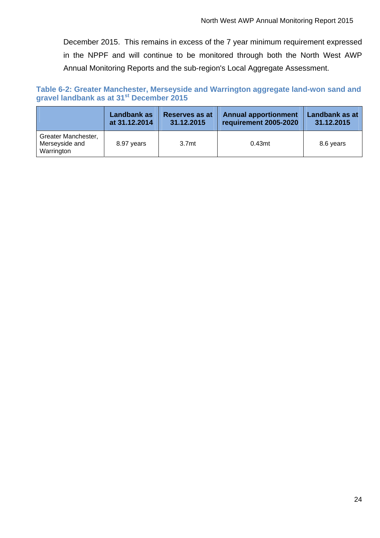December 2015. This remains in excess of the 7 year minimum requirement expressed in the NPPF and will continue to be monitored through both the North West AWP Annual Monitoring Reports and the sub-region's Local Aggregate Assessment.

#### **Table 6-2: Greater Manchester, Merseyside and Warrington aggregate land-won sand and gravel landbank as at 31st December 2015**

|                                                     | Landbank as   | Reserves as at    | <b>Annual apportionment</b> | Landbank as at |
|-----------------------------------------------------|---------------|-------------------|-----------------------------|----------------|
|                                                     | at 31.12.2014 | 31.12.2015        | requirement 2005-2020       | 31.12.2015     |
| Greater Manchester,<br>Merseyside and<br>Warrington | 8.97 years    | 3.7 <sub>mt</sub> | 0.43 <sub>mt</sub>          | 8.6 years      |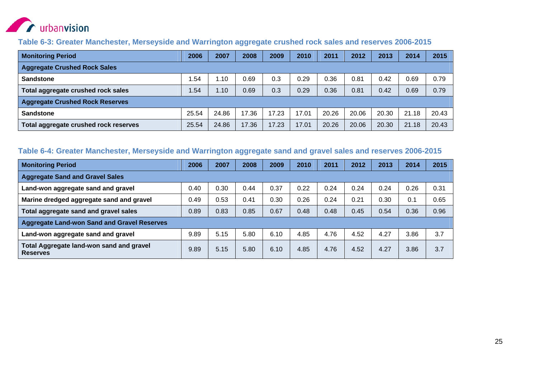

#### **Table 6-3: Greater Manchester, Merseyside and Warrington aggregate crushed rock sales and reserves 2006-2015**

| <b>Monitoring Period</b>               | 2006  | 2007  | 2008  | 2009  | 2010  | 2011  | 2012  | 2013  | 2014  | 2015  |
|----------------------------------------|-------|-------|-------|-------|-------|-------|-------|-------|-------|-------|
| <b>Aggregate Crushed Rock Sales</b>    |       |       |       |       |       |       |       |       |       |       |
| <b>Sandstone</b>                       | .54   | 1.10  | 0.69  | 0.3   | 0.29  | 0.36  | 0.81  | 0.42  | 0.69  | 0.79  |
| Total aggregate crushed rock sales     | .54   | 1.10  | 0.69  | 0.3   | 0.29  | 0.36  | 0.81  | 0.42  | 0.69  | 0.79  |
| <b>Aggregate Crushed Rock Reserves</b> |       |       |       |       |       |       |       |       |       |       |
| <b>Sandstone</b>                       | 25.54 | 24.86 | 17.36 | 17.23 | 17.01 | 20.26 | 20.06 | 20.30 | 21.18 | 20.43 |
| Total aggregate crushed rock reserves  | 25.54 | 24.86 | 17.36 | 17.23 | 17.01 | 20.26 | 20.06 | 20.30 | 21.18 | 20.43 |

#### **Table 6-4: Greater Manchester, Merseyside and Warrington aggregate sand and gravel sales and reserves 2006-2015**

| <b>Monitoring Period</b>                                           |      | 2007 | 2008 | 2009 | 2010 | 2011 | 2012 | 2013 | 2014 | 2015 |
|--------------------------------------------------------------------|------|------|------|------|------|------|------|------|------|------|
| <b>Aggregate Sand and Gravel Sales</b>                             |      |      |      |      |      |      |      |      |      |      |
| Land-won aggregate sand and gravel                                 | 0.40 | 0.30 | 0.44 | 0.37 | 0.22 | 0.24 | 0.24 | 0.24 | 0.26 | 0.31 |
| Marine dredged aggregate sand and gravel                           | 0.49 | 0.53 | 0.41 | 0.30 | 0.26 | 0.24 | 0.21 | 0.30 | 0.1  | 0.65 |
| Total aggregate sand and gravel sales                              |      | 0.83 | 0.85 | 0.67 | 0.48 | 0.48 | 0.45 | 0.54 | 0.36 | 0.96 |
| <b>Aggregate Land-won Sand and Gravel Reserves</b>                 |      |      |      |      |      |      |      |      |      |      |
| Land-won aggregate sand and gravel                                 |      | 5.15 | 5.80 | 6.10 | 4.85 | 4.76 | 4.52 | 4.27 | 3.86 | 3.7  |
| <b>Total Aggregate land-won sand and gravel</b><br><b>Reserves</b> |      | 5.15 | 5.80 | 6.10 | 4.85 | 4.76 | 4.52 | 4.27 | 3.86 | 3.7  |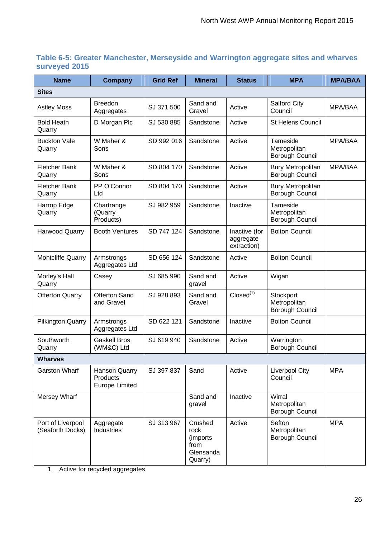#### **Table 6-5: Greater Manchester, Merseyside and Warrington aggregate sites and wharves surveyed 2015**

| <b>Name</b>                           | <b>Company</b>                                            | <b>Grid Ref</b> | <b>Mineral</b>                                              | <b>Status</b>                             | <b>MPA</b>                                          | <b>MPA/BAA</b> |
|---------------------------------------|-----------------------------------------------------------|-----------------|-------------------------------------------------------------|-------------------------------------------|-----------------------------------------------------|----------------|
| <b>Sites</b>                          |                                                           |                 |                                                             |                                           |                                                     |                |
| <b>Astley Moss</b>                    | <b>Breedon</b><br>Aggregates                              | SJ 371 500      | Sand and<br>Gravel                                          | Active                                    | <b>Salford City</b><br>Council                      | MPA/BAA        |
| <b>Bold Heath</b><br>Quarry           | D Morgan Plc                                              | SJ 530 885      | Sandstone                                                   | Active                                    | <b>St Helens Council</b>                            |                |
| <b>Buckton Vale</b><br>Quarry         | W Maher &<br>Sons                                         | SD 992 016      | Sandstone                                                   | Active                                    | Tameside<br>Metropolitan<br>Borough Council         | MPA/BAA        |
| <b>Fletcher Bank</b><br>Quarry        | W Maher &<br>Sons                                         | SD 804 170      | Sandstone                                                   | Active                                    | <b>Bury Metropolitan</b><br>Borough Council         | MPA/BAA        |
| <b>Fletcher Bank</b><br>Quarry        | PP O'Connor<br>Ltd                                        | SD 804 170      | Sandstone                                                   | Active                                    | <b>Bury Metropolitan</b><br><b>Borough Council</b>  |                |
| Harrop Edge<br>Quarry                 | Chartrange<br>(Quarry<br>Products)                        | SJ 982 959      | Sandstone                                                   | Inactive                                  | Tameside<br>Metropolitan<br><b>Borough Council</b>  |                |
| <b>Harwood Quarry</b>                 | <b>Booth Ventures</b>                                     | SD 747 124      | Sandstone                                                   | Inactive (for<br>aggregate<br>extraction) | <b>Bolton Council</b>                               |                |
| Montcliffe Quarry                     | Armstrongs<br>Aggregates Ltd                              | SD 656 124      | Sandstone                                                   | Active                                    | <b>Bolton Council</b>                               |                |
| Morley's Hall<br>Quarry               | Casey                                                     | SJ 685 990      | Sand and<br>gravel                                          | Active                                    | Wigan                                               |                |
| <b>Offerton Quarry</b>                | Offerton Sand<br>and Gravel                               | SJ 928 893      | Sand and<br>Gravel                                          | Closed <sup>(1)</sup>                     | Stockport<br>Metropolitan<br><b>Borough Council</b> |                |
| <b>Pilkington Quarry</b>              | Armstrongs<br>Aggregates Ltd                              | SD 622 121      | Sandstone                                                   | Inactive                                  | <b>Bolton Council</b>                               |                |
| Southworth<br>Quarry                  | <b>Gaskell Bros</b><br>(WM&C) Ltd                         | SJ 619 940      | Sandstone                                                   | Active                                    | Warrington<br>Borough Council                       |                |
| <b>Wharves</b>                        |                                                           |                 |                                                             |                                           |                                                     |                |
| <b>Garston Wharf</b>                  | Hanson Quarry<br><b>Products</b><br><b>Europe Limited</b> | SJ 397 837      | Sand                                                        | Active                                    | <b>Liverpool City</b><br>Council                    | <b>MPA</b>     |
| Mersey Wharf                          |                                                           |                 | Sand and<br>gravel                                          | Inactive                                  | Wirral<br>Metropolitan<br>Borough Council           |                |
| Port of Liverpool<br>(Seaforth Docks) | Aggregate<br><b>Industries</b>                            | SJ 313 967      | Crushed<br>rock<br>(imports<br>from<br>Glensanda<br>Quarry) | Active                                    | Sefton<br>Metropolitan<br><b>Borough Council</b>    | <b>MPA</b>     |

1. Active for recycled aggregates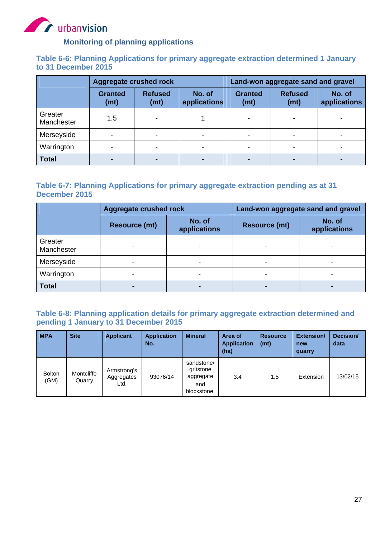

#### **Monitoring of planning applications**

#### **Table 6-6: Planning Applications for primary aggregate extraction determined 1 January to 31 December 2015**

|                       | <b>Aggregate crushed rock</b> |                        |                        | Land-won aggregate sand and gravel |                        |                        |  |
|-----------------------|-------------------------------|------------------------|------------------------|------------------------------------|------------------------|------------------------|--|
|                       | <b>Granted</b><br>(mt)        | <b>Refused</b><br>(mt) | No. of<br>applications | <b>Granted</b><br>(mt)             | <b>Refused</b><br>(mt) | No. of<br>applications |  |
| Greater<br>Manchester | 1.5                           |                        |                        |                                    |                        |                        |  |
| Merseyside            |                               |                        |                        |                                    |                        |                        |  |
| Warrington            |                               |                        |                        |                                    |                        |                        |  |
| <b>Total</b>          |                               | $\blacksquare$         |                        |                                    | -                      |                        |  |

#### **Table 6-7: Planning Applications for primary aggregate extraction pending as at 31 December 2015**

|                       | <b>Aggregate crushed rock</b> |                        | Land-won aggregate sand and gravel |                        |  |  |
|-----------------------|-------------------------------|------------------------|------------------------------------|------------------------|--|--|
|                       | <b>Resource (mt)</b>          | No. of<br>applications | <b>Resource (mt)</b>               | No. of<br>applications |  |  |
| Greater<br>Manchester |                               |                        |                                    |                        |  |  |
| Merseyside            |                               |                        |                                    |                        |  |  |
| Warrington            |                               |                        |                                    |                        |  |  |
| <b>Total</b>          |                               | -                      |                                    |                        |  |  |

#### **Table 6-8: Planning application details for primary aggregate extraction determined and pending 1 January to 31 December 2015**

| <b>MPA</b>            | <b>Site</b>          | <b>Applicant</b>                  | <b>Application</b><br>No. | <b>Mineral</b>                                             | Area of<br><b>Application</b><br>(ha) | <b>Resource</b><br>(mt) | Extension/<br>new<br>quarry | Decision/<br>data |
|-----------------------|----------------------|-----------------------------------|---------------------------|------------------------------------------------------------|---------------------------------------|-------------------------|-----------------------------|-------------------|
| <b>Bolton</b><br>(GM) | Montcliffe<br>Quarry | Armstrong's<br>Aggregates<br>Ltd. | 93076/14                  | sandstone/<br>gritstone<br>aggregate<br>and<br>blockstone. | 3.4                                   | 1.5                     | Extension                   | 13/02/15          |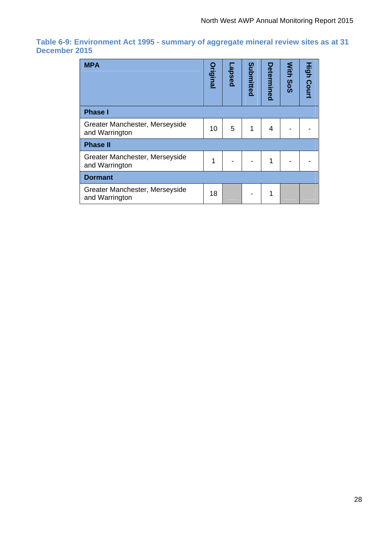#### **Table 6-9: Environment Act 1995 - summary of aggregate mineral review sites as at 31 December 2015**

| <b>MPA</b>                                       | <b>Original</b> | pesde- | Submitted | Determined | With<br>So <sub>S</sub> | <b>High Court</b> |
|--------------------------------------------------|-----------------|--------|-----------|------------|-------------------------|-------------------|
| <b>Phase I</b>                                   |                 |        |           |            |                         |                   |
| Greater Manchester, Merseyside<br>and Warrington | 10              | 5      | 1         | 4          |                         |                   |
| <b>Phase II</b>                                  |                 |        |           |            |                         |                   |
| Greater Manchester, Merseyside<br>and Warrington | 1               |        |           | 1          |                         |                   |
| <b>Dormant</b>                                   |                 |        |           |            |                         |                   |
| Greater Manchester, Merseyside<br>and Warrington | 18              |        |           | 1          |                         |                   |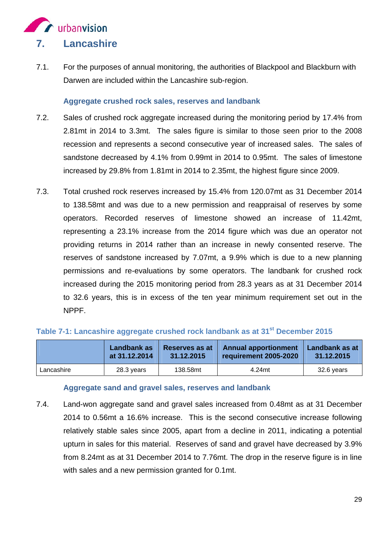

7.1. For the purposes of annual monitoring, the authorities of Blackpool and Blackburn with Darwen are included within the Lancashire sub-region.

#### **Aggregate crushed rock sales, reserves and landbank**

- 7.2. Sales of crushed rock aggregate increased during the monitoring period by 17.4% from 2.81mt in 2014 to 3.3mt. The sales figure is similar to those seen prior to the 2008 recession and represents a second consecutive year of increased sales. The sales of sandstone decreased by 4.1% from 0.99mt in 2014 to 0.95mt. The sales of limestone increased by 29.8% from 1.81mt in 2014 to 2.35mt, the highest figure since 2009.
- 7.3. Total crushed rock reserves increased by 15.4% from 120.07mt as 31 December 2014 to 138.58mt and was due to a new permission and reappraisal of reserves by some operators. Recorded reserves of limestone showed an increase of 11.42mt, representing a 23.1% increase from the 2014 figure which was due an operator not providing returns in 2014 rather than an increase in newly consented reserve. The reserves of sandstone increased by 7.07mt, a 9.9% which is due to a new planning permissions and re-evaluations by some operators. The landbank for crushed rock increased during the 2015 monitoring period from 28.3 years as at 31 December 2014 to 32.6 years, this is in excess of the ten year minimum requirement set out in the NPPF.

#### Table 7-1: Lancashire aggregate crushed rock landbank as at 31<sup>st</sup> December 2015

|            | Landbank as   | Reserves as at | <b>Annual apportionment</b> | Landbank as at |
|------------|---------------|----------------|-----------------------------|----------------|
|            | at 31.12.2014 | 31.12.2015     | requirement 2005-2020       | 31.12.2015     |
| Lancashire | 28.3 years    | 138.58mt       | 4.24mt                      | 32.6 years     |

#### **Aggregate sand and gravel sales, reserves and landbank**

7.4. Land-won aggregate sand and gravel sales increased from 0.48mt as at 31 December 2014 to 0.56mt a 16.6% increase. This is the second consecutive increase following relatively stable sales since 2005, apart from a decline in 2011, indicating a potential upturn in sales for this material. Reserves of sand and gravel have decreased by 3.9% from 8.24mt as at 31 December 2014 to 7.76mt. The drop in the reserve figure is in line with sales and a new permission granted for 0.1mt.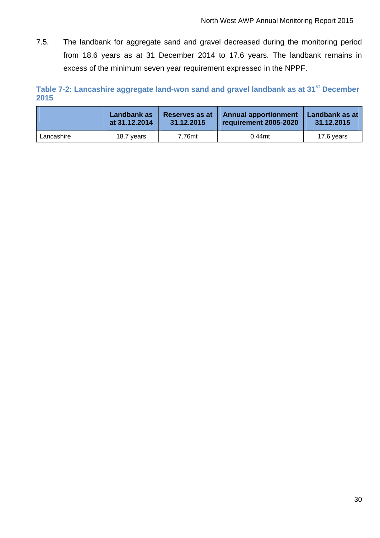7.5. The landbank for aggregate sand and gravel decreased during the monitoring period from 18.6 years as at 31 December 2014 to 17.6 years. The landbank remains in excess of the minimum seven year requirement expressed in the NPPF.

Table 7-2: Lancashire aggregate land-won sand and gravel landbank as at 31<sup>st</sup> December **2015** 

|            | Landbank as   | <b>Reserves as at</b> | <b>Annual apportionment</b> | Landbank as at |
|------------|---------------|-----------------------|-----------------------------|----------------|
|            | at 31.12.2014 | 31.12.2015            | requirement 2005-2020       | 31.12.2015     |
| Lancashire | 18.7 vears    | 7.76mt                | $0.44$ mt                   | 17.6 years     |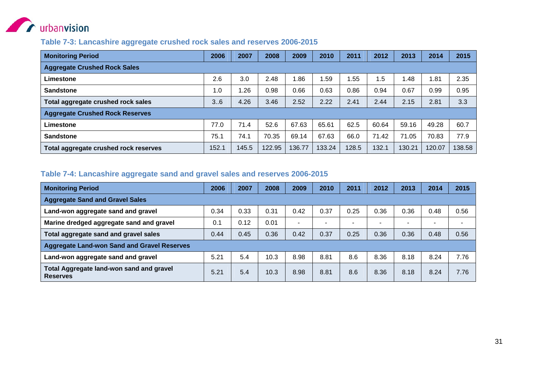

#### **Table 7-3: Lancashire aggregate crushed rock sales and reserves 2006-2015**

| <b>Monitoring Period</b>               | 2006  | 2007  | 2008   | 2009   | 2010   | 2011  | 2012  | 2013   | 2014       | 2015   |  |
|----------------------------------------|-------|-------|--------|--------|--------|-------|-------|--------|------------|--------|--|
| <b>Aggregate Crushed Rock Sales</b>    |       |       |        |        |        |       |       |        |            |        |  |
| Limestone                              | 2.6   | 3.0   | 2.48   | .86    | .59    | .55   | 1.5   | .48    | <b>.81</b> | 2.35   |  |
| <b>Sandstone</b>                       | 1.0   | .26   | 0.98   | 0.66   | 0.63   | 0.86  | 0.94  | 0.67   | 0.99       | 0.95   |  |
| Total aggregate crushed rock sales     | 3.6   | 4.26  | 3.46   | 2.52   | 2.22   | 2.41  | 2.44  | 2.15   | 2.81       | 3.3    |  |
| <b>Aggregate Crushed Rock Reserves</b> |       |       |        |        |        |       |       |        |            |        |  |
| Limestone                              | 77.0  | 71.4  | 52.6   | 67.63  | 65.61  | 62.5  | 60.64 | 59.16  | 49.28      | 60.7   |  |
| <b>Sandstone</b>                       | 75.1  | 74.1  | 70.35  | 69.14  | 67.63  | 66.0  | 71.42 | 71.05  | 70.83      | 77.9   |  |
| Total aggregate crushed rock reserves  | 152.1 | 145.5 | 122.95 | 136.77 | 133.24 | 128.5 | 132.1 | 130.21 | 120.07     | 138.58 |  |

#### **Table 7-4: Lancashire aggregate sand and gravel sales and reserves 2006-2015**

| <b>Monitoring Period</b>                                           |      | 2007 | 2008 | 2009                     | 2010 | 2011                     | 2012                     | 2013                     | 2014                     | 2015 |  |
|--------------------------------------------------------------------|------|------|------|--------------------------|------|--------------------------|--------------------------|--------------------------|--------------------------|------|--|
| <b>Aggregate Sand and Gravel Sales</b>                             |      |      |      |                          |      |                          |                          |                          |                          |      |  |
| Land-won aggregate sand and gravel                                 | 0.34 | 0.33 | 0.31 | 0.42                     | 0.37 | 0.25                     | 0.36                     | 0.36                     | 0.48                     | 0.56 |  |
| Marine dredged aggregate sand and gravel                           | 0.1  | 0.12 | 0.01 | $\overline{\phantom{0}}$ | -    | $\overline{\phantom{a}}$ | $\overline{\phantom{0}}$ | $\overline{\phantom{0}}$ | $\overline{\phantom{0}}$ |      |  |
| Total aggregate sand and gravel sales                              |      | 0.45 | 0.36 | 0.42                     | 0.37 | 0.25                     | 0.36                     | 0.36                     | 0.48                     | 0.56 |  |
| <b>Aggregate Land-won Sand and Gravel Reserves</b>                 |      |      |      |                          |      |                          |                          |                          |                          |      |  |
| Land-won aggregate sand and gravel                                 | 5.21 | 5.4  | 10.3 | 8.98                     | 8.81 | 8.6                      | 8.36                     | 8.18                     | 8.24                     | 7.76 |  |
| <b>Total Aggregate land-won sand and gravel</b><br><b>Reserves</b> | 5.21 | 5.4  | 10.3 | 8.98                     | 8.81 | 8.6                      | 8.36                     | 8.18                     | 8.24                     | 7.76 |  |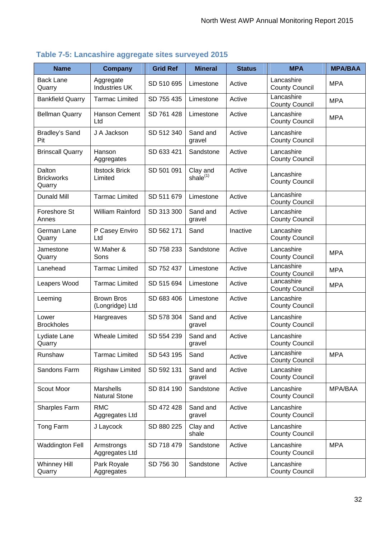| <b>Name</b>                           | <b>Company</b>                       | <b>Grid Ref</b> | <b>Mineral</b>          | <b>Status</b> | <b>MPA</b>                          | <b>MPA/BAA</b> |
|---------------------------------------|--------------------------------------|-----------------|-------------------------|---------------|-------------------------------------|----------------|
| <b>Back Lane</b><br>Quarry            | Aggregate<br><b>Industries UK</b>    | SD 510 695      | Limestone               | Active        | Lancashire<br><b>County Council</b> | <b>MPA</b>     |
| <b>Bankfield Quarry</b>               | <b>Tarmac Limited</b>                | SD 755 435      | Limestone               | Active        | Lancashire<br><b>County Council</b> | <b>MPA</b>     |
| <b>Bellman Quarry</b>                 | <b>Hanson Cement</b><br>Ltd          | SD 761 428      | Limestone               | Active        | Lancashire<br><b>County Council</b> | <b>MPA</b>     |
| <b>Bradley's Sand</b><br>Pit          | J A Jackson                          | SD 512 340      | Sand and<br>gravel      | Active        | Lancashire<br><b>County Council</b> |                |
| <b>Brinscall Quarry</b>               | Hanson<br>Aggregates                 | SD 633 421      | Sandstone               | Active        | Lancashire<br><b>County Council</b> |                |
| Dalton<br><b>Brickworks</b><br>Quarry | <b>Ibstock Brick</b><br>Limited      | SD 501 091      | Clay and<br>shale $(1)$ | Active        | Lancashire<br><b>County Council</b> |                |
| <b>Dunald Mill</b>                    | <b>Tarmac Limited</b>                | SD 511 679      | Limestone               | Active        | Lancashire<br><b>County Council</b> |                |
| Foreshore St<br>Annes                 | William Rainford                     | SD 313 300      | Sand and<br>gravel      | Active        | Lancashire<br><b>County Council</b> |                |
| German Lane<br>Quarry                 | P Casey Enviro<br>Ltd                | SD 562 171      | Sand                    | Inactive      | Lancashire<br><b>County Council</b> |                |
| Jamestone<br>Quarry                   | W.Maher &<br>Sons                    | SD 758 233      | Sandstone               | Active        | Lancashire<br><b>County Council</b> | <b>MPA</b>     |
| Lanehead                              | <b>Tarmac Limited</b>                | SD 752 437      | Limestone               | Active        | Lancashire<br><b>County Council</b> | <b>MPA</b>     |
| Leapers Wood                          | <b>Tarmac Limited</b>                | SD 515 694      | Limestone               | Active        | Lancashire<br><b>County Council</b> | <b>MPA</b>     |
| Leeming                               | <b>Brown Bros</b><br>(Longridge) Ltd | SD 683 406      | Limestone               | Active        | Lancashire<br><b>County Council</b> |                |
| Lower<br><b>Brockholes</b>            | Hargreaves                           | SD 578 304      | Sand and<br>gravel      | Active        | Lancashire<br><b>County Council</b> |                |
| Lydiate Lane<br>Quarry                | <b>Wheale Limited</b>                | SD 554 239      | Sand and<br>gravel      | Active        | Lancashire<br><b>County Council</b> |                |
| Runshaw                               | <b>Tarmac Limited</b>                | SD 543 195      | Sand                    | Active        | Lancashire<br><b>County Council</b> | <b>MPA</b>     |
| Sandons Farm                          | <b>Rigshaw Limited</b>               | SD 592 131      | Sand and<br>gravel      | Active        | Lancashire<br><b>County Council</b> |                |
| Scout Moor                            | Marshells<br>Natural Stone           | SD 814 190      | Sandstone               | Active        | Lancashire<br><b>County Council</b> | MPA/BAA        |
| Sharples Farm                         | <b>RMC</b><br>Aggregates Ltd         | SD 472 428      | Sand and<br>gravel      | Active        | Lancashire<br><b>County Council</b> |                |
| Tong Farm                             | J Laycock                            | SD 880 225      | Clay and<br>shale       | Active        | Lancashire<br><b>County Council</b> |                |
| <b>Waddington Fell</b>                | Armstrongs<br>Aggregates Ltd         | SD 718 479      | Sandstone               | Active        | Lancashire<br><b>County Council</b> | <b>MPA</b>     |
| <b>Whinney Hill</b><br>Quarry         | Park Royale<br>Aggregates            | SD 756 30       | Sandstone               | Active        | Lancashire<br><b>County Council</b> |                |

# **Table 7-5: Lancashire aggregate sites surveyed 2015**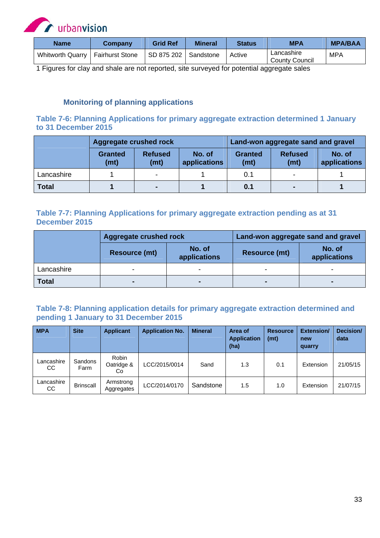

| <b>Name</b>             | Company                | <b>Grid Ref</b> | <b>Mineral</b> | <b>Status</b> | <b>MPA</b>                          | <b>MPA/BAA</b> |
|-------------------------|------------------------|-----------------|----------------|---------------|-------------------------------------|----------------|
| <b>Whitworth Quarry</b> | <b>Fairhurst Stone</b> | SD 875 202      | Sandstone      | Active        | Lancashire<br><b>County Council</b> | <b>MPA</b>     |

1 Figures for clay and shale are not reported, site surveyed for potential aggregate sales

#### **Monitoring of planning applications**

#### **Table 7-6: Planning Applications for primary aggregate extraction determined 1 January to 31 December 2015**

|              | Aggregate crushed rock |                        |                        | Land-won aggregate sand and gravel |                        |                        |  |
|--------------|------------------------|------------------------|------------------------|------------------------------------|------------------------|------------------------|--|
|              | <b>Granted</b><br>(mt) | <b>Refused</b><br>(mt) | No. of<br>applications | <b>Granted</b><br>(mt)             | <b>Refused</b><br>(mt) | No. of<br>applications |  |
| Lancashire   |                        | -                      |                        | 0.1                                | $\,$                   |                        |  |
| <b>Total</b> |                        | $\blacksquare$         |                        | 0.1                                | $\blacksquare$         |                        |  |

#### **Table 7-7: Planning Applications for primary aggregate extraction pending as at 31 December 2015**

|              | Aggregate crushed rock |                        | Land-won aggregate sand and gravel |                        |  |  |
|--------------|------------------------|------------------------|------------------------------------|------------------------|--|--|
|              | <b>Resource (mt)</b>   | No. of<br>applications | <b>Resource (mt)</b>               | No. of<br>applications |  |  |
| Lancashire   |                        |                        |                                    |                        |  |  |
| <b>Total</b> |                        |                        |                                    |                        |  |  |

#### **Table 7-8: Planning application details for primary aggregate extraction determined and pending 1 January to 31 December 2015**

| <b>MPA</b>        | <b>Site</b>      | <b>Applicant</b>          | <b>Application No.</b> | <b>Mineral</b> | Area of<br><b>Application</b><br>(ha) | <b>Resource</b><br>(mt) | Extension/<br>new<br>quarry | Decision/<br>data |
|-------------------|------------------|---------------------------|------------------------|----------------|---------------------------------------|-------------------------|-----------------------------|-------------------|
| Lancashire<br>CC. | Sandons<br>Farm  | Robin<br>Oatridge &<br>Co | LCC/2015/0014          | Sand           | 1.3                                   | 0.1                     | Extension                   | 21/05/15          |
| Lancashire<br>CC. | <b>Brinscall</b> | Armstrong<br>Aggregates   | LCC/2014/0170          | Sandstone      | 1.5                                   | 1.0                     | Extension                   | 21/07/15          |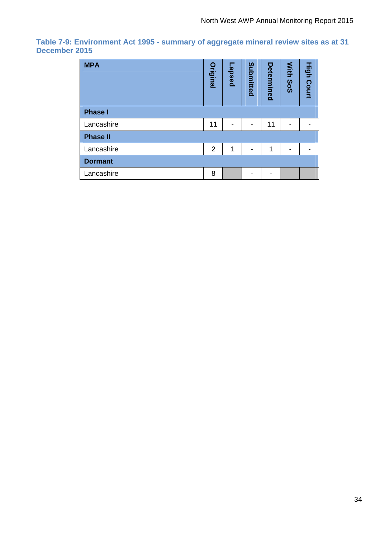#### **Table 7-9: Environment Act 1995 - summary of aggregate mineral review sites as at 31 December 2015**

| <b>MPA</b>      | <b>Original</b> | pesde <sup>-</sup> | Submitted | Determined | With<br>Sos | <b>High Court</b> |
|-----------------|-----------------|--------------------|-----------|------------|-------------|-------------------|
| <b>Phase I</b>  |                 |                    |           |            |             |                   |
| Lancashire      | 11              |                    |           | 11         |             |                   |
| <b>Phase II</b> |                 |                    |           |            |             |                   |
| Lancashire      | $\overline{2}$  | 1                  |           | 1          |             |                   |
| <b>Dormant</b>  |                 |                    |           |            |             |                   |
| Lancashire      | 8               |                    |           |            |             |                   |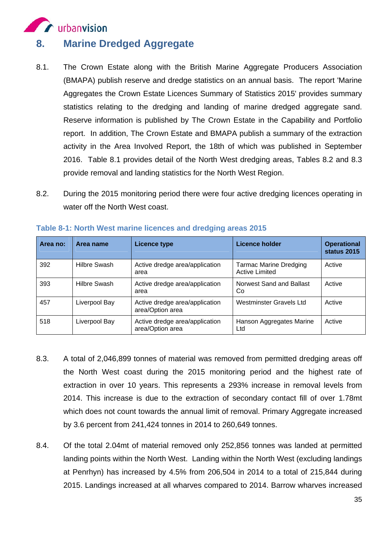

### **8. Marine Dredged Aggregate**

- 8.1. The Crown Estate along with the British Marine Aggregate Producers Association (BMAPA) publish reserve and dredge statistics on an annual basis. The report 'Marine Aggregates the Crown Estate Licences Summary of Statistics 2015' provides summary statistics relating to the dredging and landing of marine dredged aggregate sand. Reserve information is published by The Crown Estate in the Capability and Portfolio report. In addition, The Crown Estate and BMAPA publish a summary of the extraction activity in the Area Involved Report, the 18th of which was published in September 2016. Table 8.1 provides detail of the North West dredging areas, Tables 8.2 and 8.3 provide removal and landing statistics for the North West Region.
- 8.2. During the 2015 monitoring period there were four active dredging licences operating in water off the North West coast.

| Area no: | Area name           | <b>Licence type</b>                                | <b>Licence holder</b>                                  | <b>Operational</b><br>status 2015 |
|----------|---------------------|----------------------------------------------------|--------------------------------------------------------|-----------------------------------|
| 392      | <b>Hilbre Swash</b> | Active dredge area/application<br>area             | <b>Tarmac Marine Dredging</b><br><b>Active Limited</b> | Active                            |
| 393      | Hilbre Swash        | Active dredge area/application<br>area             | Norwest Sand and Ballast<br>Co                         | Active                            |
| 457      | Liverpool Bay       | Active dredge area/application<br>area/Option area | Westminster Gravels Ltd                                | Active                            |
| 518      | Liverpool Bay       | Active dredge area/application<br>area/Option area | Hanson Aggregates Marine<br>Ltd                        | Active                            |

**Table 8-1: North West marine licences and dredging areas 2015** 

- 8.3. A total of 2,046,899 tonnes of material was removed from permitted dredging areas off the North West coast during the 2015 monitoring period and the highest rate of extraction in over 10 years. This represents a 293% increase in removal levels from 2014. This increase is due to the extraction of secondary contact fill of over 1.78mt which does not count towards the annual limit of removal. Primary Aggregate increased by 3.6 percent from 241,424 tonnes in 2014 to 260,649 tonnes.
- 8.4. Of the total 2.04mt of material removed only 252,856 tonnes was landed at permitted landing points within the North West. Landing within the North West (excluding landings at Penrhyn) has increased by 4.5% from 206,504 in 2014 to a total of 215,844 during 2015. Landings increased at all wharves compared to 2014. Barrow wharves increased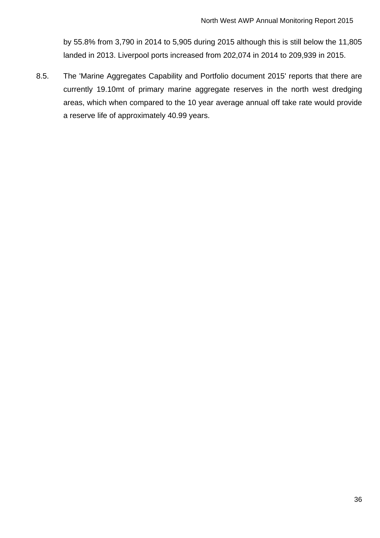by 55.8% from 3,790 in 2014 to 5,905 during 2015 although this is still below the 11,805 landed in 2013. Liverpool ports increased from 202,074 in 2014 to 209,939 in 2015.

8.5. The 'Marine Aggregates Capability and Portfolio document 2015' reports that there are currently 19.10mt of primary marine aggregate reserves in the north west dredging areas, which when compared to the 10 year average annual off take rate would provide a reserve life of approximately 40.99 years.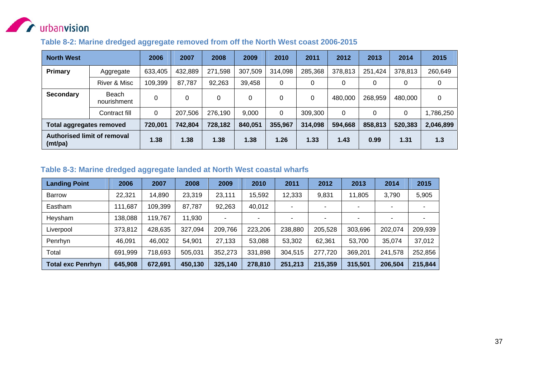

#### **Table 8-2: Marine dredged aggregate removed from off the North West coast 2006-2015**

| <b>North West</b>                      |                      | 2006    | 2007    | 2008    | 2009    | 2010    | 2011    | 2012    | 2013    | 2014    | 2015      |
|----------------------------------------|----------------------|---------|---------|---------|---------|---------|---------|---------|---------|---------|-----------|
| Primary                                | Aggregate            | 633,405 | 432,889 | 271,598 | 307,509 | 314,098 | 285,368 | 378,813 | 251,424 | 378,813 | 260,649   |
|                                        | River & Misc         | 109,399 | 87,787  | 92,263  | 39,458  | 0       |         | 0       | 0       | 0       | 0         |
| <b>Secondary</b>                       | Beach<br>nourishment | 0       | 0       |         | 0       | 0       | 0       | 480,000 | 268,959 | 480,000 | 0         |
|                                        | Contract fill        | 0       | 207,506 | 276,190 | 9,000   | 0       | 309,300 | 0       | 0       | 0       | ,786,250  |
| <b>Total aggregates removed</b>        |                      | 720,001 | 742,804 | 728,182 | 840,051 | 355,967 | 314,098 | 594,668 | 858,813 | 520,383 | 2,046,899 |
| Authorised limit of removal<br>(mt/pa) |                      | 1.38    | 1.38    | 1.38    | 1.38    | 1.26    | 1.33    | 1.43    | 0.99    | 1.31    | 1.3       |

#### **Table 8-3: Marine dredged aggregate landed at North West coastal wharfs**

| <b>Landing Point</b>     | 2006    | 2007    | 2008    | 2009                     | 2010    | 2011    | 2012    | 2013    | 2014    | 2015    |
|--------------------------|---------|---------|---------|--------------------------|---------|---------|---------|---------|---------|---------|
| <b>Barrow</b>            | 22,321  | 14,890  | 23,319  | 23,111                   | 15,592  | 12,333  | 9,831   | 11,805  | 3,790   | 5,905   |
| Eastham                  | 111,687 | 109,399 | 87,787  | 92,263                   | 40,012  | -       | -       | ٠       |         |         |
| Heysham                  | 138,088 | 119,767 | 11,930  | $\overline{\phantom{0}}$ |         |         | -       |         |         |         |
| Liverpool                | 373,812 | 428,635 | 327,094 | 209,766                  | 223,206 | 238,880 | 205,528 | 303,696 | 202,074 | 209,939 |
| Penrhyn                  | 46,091  | 46,002  | 54,901  | 27,133                   | 53,088  | 53,302  | 62,361  | 53,700  | 35,074  | 37,012  |
| Total                    | 691,999 | 718,693 | 505,031 | 352,273                  | 331,898 | 304,515 | 277,720 | 369,201 | 241,578 | 252,856 |
| <b>Total exc Penrhyn</b> | 645,908 | 672,691 | 450,130 | 325,140                  | 278,810 | 251,213 | 215,359 | 315,501 | 206,504 | 215,844 |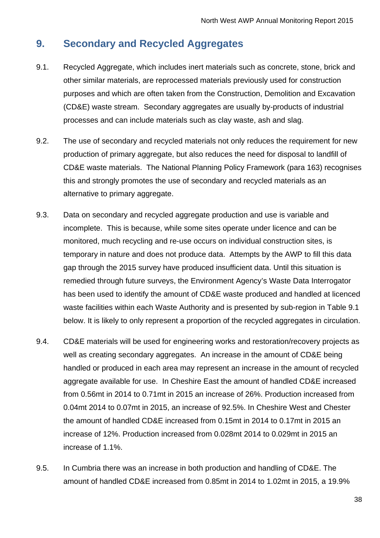# **9. Secondary and Recycled Aggregates**

- 9.1. Recycled Aggregate, which includes inert materials such as concrete, stone, brick and other similar materials, are reprocessed materials previously used for construction purposes and which are often taken from the Construction, Demolition and Excavation (CD&E) waste stream. Secondary aggregates are usually by-products of industrial processes and can include materials such as clay waste, ash and slag.
- 9.2. The use of secondary and recycled materials not only reduces the requirement for new production of primary aggregate, but also reduces the need for disposal to landfill of CD&E waste materials. The National Planning Policy Framework (para 163) recognises this and strongly promotes the use of secondary and recycled materials as an alternative to primary aggregate.
- 9.3. Data on secondary and recycled aggregate production and use is variable and incomplete. This is because, while some sites operate under licence and can be monitored, much recycling and re-use occurs on individual construction sites, is temporary in nature and does not produce data. Attempts by the AWP to fill this data gap through the 2015 survey have produced insufficient data. Until this situation is remedied through future surveys, the Environment Agency's Waste Data Interrogator has been used to identify the amount of CD&E waste produced and handled at licenced waste facilities within each Waste Authority and is presented by sub-region in Table 9.1 below. It is likely to only represent a proportion of the recycled aggregates in circulation.
- 9.4. CD&E materials will be used for engineering works and restoration/recovery projects as well as creating secondary aggregates. An increase in the amount of CD&E being handled or produced in each area may represent an increase in the amount of recycled aggregate available for use. In Cheshire East the amount of handled CD&E increased from 0.56mt in 2014 to 0.71mt in 2015 an increase of 26%. Production increased from 0.04mt 2014 to 0.07mt in 2015, an increase of 92.5%. In Cheshire West and Chester the amount of handled CD&E increased from 0.15mt in 2014 to 0.17mt in 2015 an increase of 12%. Production increased from 0.028mt 2014 to 0.029mt in 2015 an increase of 1.1%.
- 9.5. In Cumbria there was an increase in both production and handling of CD&E. The amount of handled CD&E increased from 0.85mt in 2014 to 1.02mt in 2015, a 19.9%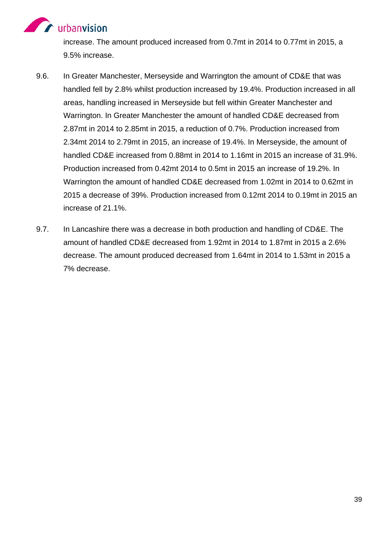# **Contract of Automobile Street**

increase. The amount produced increased from 0.7mt in 2014 to 0.77mt in 2015, a 9.5% increase.

- 9.6. In Greater Manchester, Merseyside and Warrington the amount of CD&E that was handled fell by 2.8% whilst production increased by 19.4%. Production increased in all areas, handling increased in Merseyside but fell within Greater Manchester and Warrington. In Greater Manchester the amount of handled CD&E decreased from 2.87mt in 2014 to 2.85mt in 2015, a reduction of 0.7%. Production increased from 2.34mt 2014 to 2.79mt in 2015, an increase of 19.4%. In Merseyside, the amount of handled CD&E increased from 0.88mt in 2014 to 1.16mt in 2015 an increase of 31.9%. Production increased from 0.42mt 2014 to 0.5mt in 2015 an increase of 19.2%. In Warrington the amount of handled CD&E decreased from 1.02mt in 2014 to 0.62mt in 2015 a decrease of 39%. Production increased from 0.12mt 2014 to 0.19mt in 2015 an increase of 21.1%.
- 9.7. In Lancashire there was a decrease in both production and handling of CD&E. The amount of handled CD&E decreased from 1.92mt in 2014 to 1.87mt in 2015 a 2.6% decrease. The amount produced decreased from 1.64mt in 2014 to 1.53mt in 2015 a 7% decrease.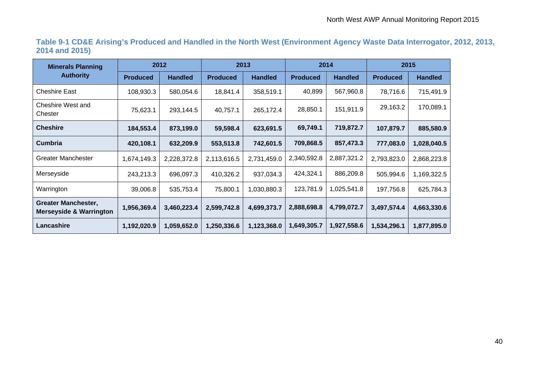**Table 9-1 CD&E Arising's Produced and Handled in the North West (Environment Agency Waste Data Interrogator, 2012, 2013, 2014 and 2015)** 

| <b>Minerals Planning</b>                                         | 2012            |                | 2013            |                | 2014            |                | 2015            |                |
|------------------------------------------------------------------|-----------------|----------------|-----------------|----------------|-----------------|----------------|-----------------|----------------|
| <b>Authority</b>                                                 | <b>Produced</b> | <b>Handled</b> | <b>Produced</b> | <b>Handled</b> | <b>Produced</b> | <b>Handled</b> | <b>Produced</b> | <b>Handled</b> |
| <b>Cheshire East</b>                                             | 108,930.3       | 580,054.6      | 18,841.4        | 358,519.1      | 40,899          | 567,960.8      | 78,716.6        | 715,491.9      |
| Cheshire West and<br>Chester                                     | 75,623.1        | 293,144.5      | 40,757.1        | 265,172.4      | 28,850.1        | 151,911.9      | 29,163.2        | 170,089.1      |
| <b>Cheshire</b>                                                  | 184,553.4       | 873,199.0      | 59,598.4        | 623,691.5      | 69,749.1        | 719,872.7      | 107,879.7       | 885,580.9      |
| <b>Cumbria</b>                                                   | 420,108.1       | 632,209.9      | 553,513.8       | 742,601.5      | 709,868.5       | 857,473.3      | 777,083.0       | 1,028,040.5    |
| Greater Manchester                                               | 1,674,149.3     | 2,228,372.8    | 2,113,616.5     | 2,731,459.0    | 2,340,592.8     | 2,887,321.2    | 2,793,823.0     | 2,868,223.8    |
| Merseyside                                                       | 243,213.3       | 696,097.3      | 410,326.2       | 937,034.3      | 424,324.1       | 886,209.8      | 505,994.6       | 1,169,322.5    |
| Warrington                                                       | 39,006.8        | 535,753.4      | 75,800.1        | 1,030,880.3    | 123,781.9       | 1,025,541.8    | 197,756.8       | 625,784.3      |
| <b>Greater Manchester,</b><br><b>Merseyside &amp; Warrington</b> | 1,956,369.4     | 3,460,223.4    | 2,599,742.8     | 4,699,373.7    | 2,888,698.8     | 4,799,072.7    | 3,497,574.4     | 4,663,330.6    |
| Lancashire                                                       | 1,192,020.9     | 1,059,652.0    | 1,250,336.6     | 1,123,368.0    | 1,649,305.7     | 1,927,558.6    | 1,534,296.1     | 1,877,895.0    |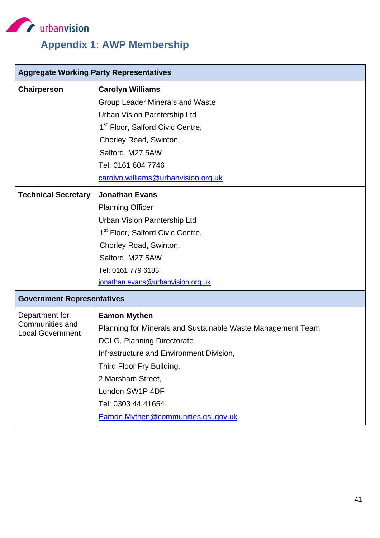

# **Appendix 1: AWP Membership**

|                                                   | <b>Aggregate Working Party Representatives</b>              |  |  |  |  |  |
|---------------------------------------------------|-------------------------------------------------------------|--|--|--|--|--|
| Chairperson                                       | <b>Carolyn Williams</b>                                     |  |  |  |  |  |
|                                                   | Group Leader Minerals and Waste                             |  |  |  |  |  |
|                                                   | <b>Urban Vision Parntership Ltd</b>                         |  |  |  |  |  |
|                                                   | 1 <sup>st</sup> Floor, Salford Civic Centre,                |  |  |  |  |  |
|                                                   | Chorley Road, Swinton,                                      |  |  |  |  |  |
|                                                   | Salford, M27 5AW                                            |  |  |  |  |  |
|                                                   | Tel: 0161 604 7746                                          |  |  |  |  |  |
|                                                   | carolyn.williams@urbanvision.org.uk                         |  |  |  |  |  |
| <b>Technical Secretary</b>                        | <b>Jonathan Evans</b>                                       |  |  |  |  |  |
|                                                   | <b>Planning Officer</b>                                     |  |  |  |  |  |
|                                                   | Urban Vision Parntership Ltd                                |  |  |  |  |  |
|                                                   | 1 <sup>st</sup> Floor, Salford Civic Centre,                |  |  |  |  |  |
|                                                   | Chorley Road, Swinton,                                      |  |  |  |  |  |
|                                                   | Salford, M27 5AW                                            |  |  |  |  |  |
|                                                   | Tel: 0161 779 6183                                          |  |  |  |  |  |
|                                                   | jonathan.evans@urbanvision.org.uk                           |  |  |  |  |  |
| <b>Government Representatives</b>                 |                                                             |  |  |  |  |  |
| Department for                                    | <b>Eamon Mythen</b>                                         |  |  |  |  |  |
| <b>Communities and</b><br><b>Local Government</b> | Planning for Minerals and Sustainable Waste Management Team |  |  |  |  |  |
|                                                   | <b>DCLG, Planning Directorate</b>                           |  |  |  |  |  |
|                                                   | Infrastructure and Environment Division,                    |  |  |  |  |  |
|                                                   | Third Floor Fry Building,                                   |  |  |  |  |  |
|                                                   | 2 Marsham Street,                                           |  |  |  |  |  |
|                                                   | London SW1P 4DF                                             |  |  |  |  |  |
|                                                   | Tel: 0303 44 41654                                          |  |  |  |  |  |
|                                                   | Eamon.Mythen@communities.gsi.gov.uk                         |  |  |  |  |  |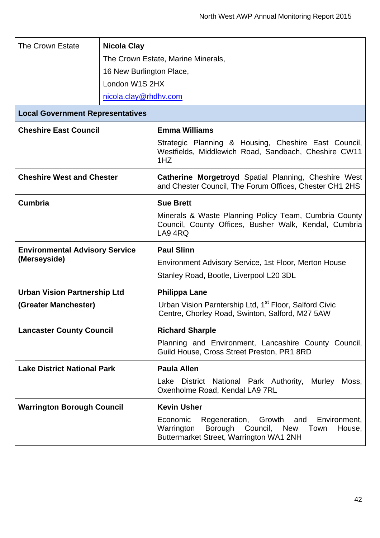| The Crown Estate                        | <b>Nicola Clay</b>       |                                                                                                                           |  |  |  |  |
|-----------------------------------------|--------------------------|---------------------------------------------------------------------------------------------------------------------------|--|--|--|--|
|                                         |                          | The Crown Estate, Marine Minerals,                                                                                        |  |  |  |  |
|                                         | 16 New Burlington Place, |                                                                                                                           |  |  |  |  |
|                                         | London W1S 2HX           |                                                                                                                           |  |  |  |  |
|                                         | nicola.clay@rhdhv.com    |                                                                                                                           |  |  |  |  |
| <b>Local Government Representatives</b> |                          |                                                                                                                           |  |  |  |  |
| <b>Cheshire East Council</b>            |                          | <b>Emma Williams</b>                                                                                                      |  |  |  |  |
|                                         |                          | Strategic Planning & Housing, Cheshire East Council,<br>Westfields, Middlewich Road, Sandbach, Cheshire CW11<br>1HZ       |  |  |  |  |
| <b>Cheshire West and Chester</b>        |                          | <b>Catherine Morgetroyd Spatial Planning, Cheshire West</b><br>and Chester Council, The Forum Offices, Chester CH1 2HS    |  |  |  |  |
| <b>Cumbria</b>                          |                          | <b>Sue Brett</b>                                                                                                          |  |  |  |  |
|                                         |                          | Minerals & Waste Planning Policy Team, Cumbria County<br>Council, County Offices, Busher Walk, Kendal, Cumbria<br>LA9 4RQ |  |  |  |  |
| <b>Environmental Advisory Service</b>   |                          | <b>Paul Slinn</b>                                                                                                         |  |  |  |  |
| (Merseyside)                            |                          | Environment Advisory Service, 1st Floor, Merton House                                                                     |  |  |  |  |
|                                         |                          | Stanley Road, Bootle, Liverpool L20 3DL                                                                                   |  |  |  |  |
| <b>Urban Vision Partnership Ltd</b>     |                          |                                                                                                                           |  |  |  |  |
|                                         |                          | <b>Philippa Lane</b>                                                                                                      |  |  |  |  |
| (Greater Manchester)                    |                          | Urban Vision Parntership Ltd, 1 <sup>st</sup> Floor, Salford Civic<br>Centre, Chorley Road, Swinton, Salford, M27 5AW     |  |  |  |  |
| <b>Lancaster County Council</b>         |                          | <b>Richard Sharple</b>                                                                                                    |  |  |  |  |
|                                         |                          | Planning and Environment, Lancashire County Council,<br>Guild House, Cross Street Preston, PR1 8RD                        |  |  |  |  |
| <b>Lake District National Park</b>      |                          | <b>Paula Allen</b>                                                                                                        |  |  |  |  |
|                                         |                          | Lake District National Park Authority, Murley<br>Moss,<br>Oxenholme Road, Kendal LA9 7RL                                  |  |  |  |  |
| <b>Warrington Borough Council</b>       |                          | <b>Kevin Usher</b>                                                                                                        |  |  |  |  |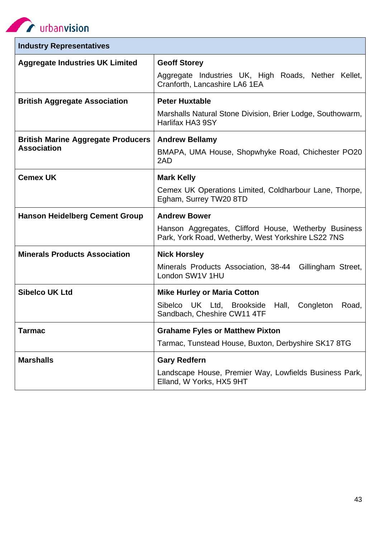**CONTROL** urbanvision

| <b>Industry Representatives</b>                                 |                                                                                                                                   |
|-----------------------------------------------------------------|-----------------------------------------------------------------------------------------------------------------------------------|
| <b>Aggregate Industries UK Limited</b>                          | <b>Geoff Storey</b><br>Aggregate Industries UK, High Roads, Nether Kellet,<br>Cranforth, Lancashire LA6 1EA                       |
| <b>British Aggregate Association</b>                            | <b>Peter Huxtable</b><br>Marshalls Natural Stone Division, Brier Lodge, Southowarm,<br>Harlifax HA3 9SY                           |
| <b>British Marine Aggregate Producers</b><br><b>Association</b> | <b>Andrew Bellamy</b><br>BMAPA, UMA House, Shopwhyke Road, Chichester PO20<br>2AD                                                 |
| <b>Cemex UK</b>                                                 | <b>Mark Kelly</b><br>Cemex UK Operations Limited, Coldharbour Lane, Thorpe,<br>Egham, Surrey TW20 8TD                             |
| <b>Hanson Heidelberg Cement Group</b>                           | <b>Andrew Bower</b><br>Hanson Aggregates, Clifford House, Wetherby Business<br>Park, York Road, Wetherby, West Yorkshire LS22 7NS |
| <b>Minerals Products Association</b>                            | <b>Nick Horsley</b><br>Minerals Products Association, 38-44 Gillingham Street,<br>London SW1V 1HU                                 |
| <b>Sibelco UK Ltd</b>                                           | <b>Mike Hurley or Maria Cotton</b><br>Sibelco UK Ltd, Brookside<br>Hall,<br>Congleton<br>Road,<br>Sandbach, Cheshire CW11 4TF     |
| Tarmac                                                          | <b>Grahame Fyles or Matthew Pixton</b><br>Tarmac, Tunstead House, Buxton, Derbyshire SK17 8TG                                     |
| <b>Marshalls</b>                                                | <b>Gary Redfern</b><br>Landscape House, Premier Way, Lowfields Business Park,<br>Elland, W Yorks, HX5 9HT                         |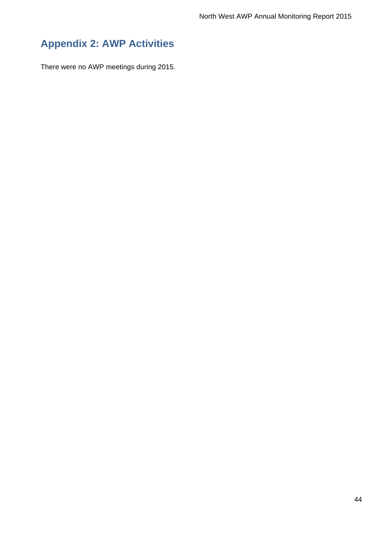# **Appendix 2: AWP Activities**

There were no AWP meetings during 2015.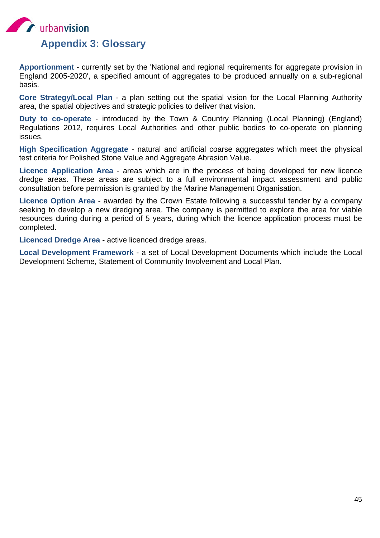

**Apportionment** - currently set by the 'National and regional requirements for aggregate provision in England 2005-2020', a specified amount of aggregates to be produced annually on a sub-regional basis.

**Core Strategy/Local Plan** - a plan setting out the spatial vision for the Local Planning Authority area, the spatial objectives and strategic policies to deliver that vision.

**Duty to co-operate** - introduced by the Town & Country Planning (Local Planning) (England) Regulations 2012, requires Local Authorities and other public bodies to co-operate on planning issues.

**High Specification Aggregate** - natural and artificial coarse aggregates which meet the physical test criteria for Polished Stone Value and Aggregate Abrasion Value.

**Licence Application Area** - areas which are in the process of being developed for new licence dredge areas. These areas are subject to a full environmental impact assessment and public consultation before permission is granted by the Marine Management Organisation.

**Licence Option Area** - awarded by the Crown Estate following a successful tender by a company seeking to develop a new dredging area. The company is permitted to explore the area for viable resources during during a period of 5 years, during which the licence application process must be completed.

**Licenced Dredge Area** - active licenced dredge areas.

**Local Development Framework** - a set of Local Development Documents which include the Local Development Scheme, Statement of Community Involvement and Local Plan.